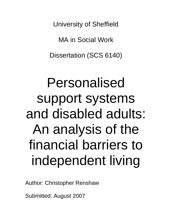University of Sheffield

MA in Social Work

Dissertation (SCS 6140)

# Personalised support systems and disabled adults: An analysis of the financial barriers to independent living

Author: Christopher Renshaw

Submitted: August 2007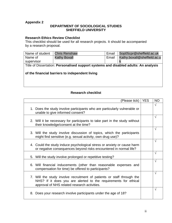#### **Appendix 2**

#### **DEPARTMENT OF SOCIOLOGICAL STUDIES SHEFFIELD UNIVERSITY**

#### **Research Ethics Review Checklist**

This checklist should be used for all research projects. It should be accompanied by a research proposal.

| Name of student                                                                      | <b>Chris Renshaw</b> | Email | Sop05cpr@sheffield.ac.uk    |  |
|--------------------------------------------------------------------------------------|----------------------|-------|-----------------------------|--|
| Name of                                                                              | <b>Kathy Boxall</b>  | Email | Kathy.boxall@sheffield.ac.u |  |
| supervisor                                                                           |                      |       |                             |  |
| Title of Dissertation: Personalised support systems and disabled adults: An analysis |                      |       |                             |  |
|                                                                                      |                      |       |                             |  |
| of the financial barriers to independent living                                      |                      |       |                             |  |
|                                                                                      |                      |       |                             |  |
|                                                                                      |                      |       |                             |  |

#### **Research checklist**

| (Please tick)                                                                                                                                                                             | <b>YES</b> | <b>NO</b>  |
|-------------------------------------------------------------------------------------------------------------------------------------------------------------------------------------------|------------|------------|
| 1. Does the study involve participants who are particularly vulnerable or<br>unable to give informed consent?                                                                             |            | $\sqrt{}$  |
| 2. Will it be necessary for participants to take part in the study without<br>their knowledge/consent at the time?                                                                        |            | $\sqrt{}$  |
| 3. Will the study involve discussion of topics, which the participants<br>might find sensitive (e.g. sexual activity, own drug use)?                                                      |            | V          |
| 4. Could the study induce psychological stress or anxiety or cause harm<br>or negative consequences beyond risks encountered in normal life?                                              |            | $\sqrt{ }$ |
| 5. Will the study involve prolonged or repetitive testing?                                                                                                                                |            | V          |
| 6. Will financial inducements (other than reasonable expenses and<br>compensation for time) be offered to participants?                                                                   |            | √          |
| 7. Will the study involve recruitment of patients or staff through the<br>NHS? If it does you are alerted to the requirements for ethical<br>approval of NHS related research activities. |            | $\sqrt{}$  |
| 8. Does your research involve participants under the age of 18?                                                                                                                           |            | √          |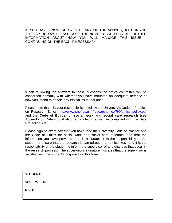IF YOU HAVE ANSWERED YES TO ANY OF THE ABOVE QUESTIONS, IN THE BOX BELOW, PLEASE NOTE THE NUMBER AND PROVIDE FURTHER INFORMATION ABOUT HOW YOU WILL MANAGE THIS ISSUE – CONTINUING ON THE BACK IF NECESSARY

When reviewing the answers to these questions the ethics committee will be concerned primarily with whether you have mounted an adequate defence of how you intend to handle any ethical issue that arise.

Please note that it is your responsibility to follow the University's Code of Practice on Research Ethics http://www.shef.ac.uk/r/researchoffice/RO/ethics policy.pdf and the **Code of Ethics for social work and social care research** (see Appendix 3). Data should also be handled in a manner compliant with the Data Protection Act.

Please sign below to say that you have read the University Code of Practice and the Code of Ethics for social work and social care research, and that the information you have provided here is accurate. It is the responsibility of the student to ensure that the research is carried out in an ethical way, and it is the responsibility of the student to inform the supervisor of any changes that occur in the research process. The supervisor's signature indicates that the supervisor is satisfied with the student's response on this form.

**STUDENT** 

**SUPERVISOR** 

**DATE**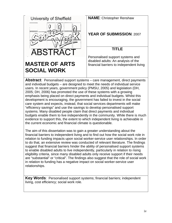| University of Sheffield                                                                                                                                           | <b>NAME: Christopher Renshaw</b>                                                |
|-------------------------------------------------------------------------------------------------------------------------------------------------------------------|---------------------------------------------------------------------------------|
|                                                                                                                                                                   | <b>YEAR OF SUBMISSION: 2007</b>                                                 |
| <b>ABSTRACT</b>                                                                                                                                                   | TITLE                                                                           |
|                                                                                                                                                                   | Personalised support systems and                                                |
| <b>MASTER OF ARTS</b>                                                                                                                                             | disabled adults: An analysis of the<br>financial barriers to independent living |
| <b>SOCIAL WORK</b>                                                                                                                                                |                                                                                 |
| <b>Abstract:</b> Personalised support systems – care management, direct payments<br>and individual budgets – are designed to meet the needs of individual service |                                                                                 |
| users. In recent years, government policy (PMSU, 2005) and legislation (DH,                                                                                       |                                                                                 |
| 2005; DH, 2006) has promoted the use of these systems with a growing                                                                                              |                                                                                 |
| emphasis being placed on direct payments and individual budgets. Whilst this                                                                                      |                                                                                 |

development is encouraging, the government has failed to invest in the social care system and expects, instead, that social services departments will make "efficiency savings" and use the savings to develop personalised support systems. Many disabled people claim that direct payments and individual

budgets enable them to live independently in the community. While there is much evidence to support this, the extent to which independent living is achievable in

the current economic and financial climate is questionable. The aim of this dissertation was to gain a greater understanding about the financial barriers to independent living and to find out how the social work role in relation to funding impacts upon social worker-service user relationships. In order to do that, an extensive review was conducted of relevant literature. The findings suggest that financial barriers hinder the ability of personalised support systems to enable disabled adults to live independently, particularly in relation to rising eligibility criteria, since many disabled adults only receive support if their needs are "substantial" or "critical". The findings also suggest that the role of social work in relation to funding has a negative impact on social worker-service user relationships.

**Key Words**: Personalised support systems; financial barriers; independent living, cost efficiency; social work role.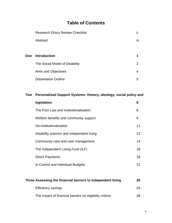# **Table of Contents**

|     | <b>Research Ethics Review Checklist</b> | ii            |
|-----|-----------------------------------------|---------------|
|     | Abstract                                | iv            |
|     |                                         |               |
| One | <b>Introduction</b>                     |               |
|     | The Social Model of Disability          | $\mathcal{P}$ |
|     | Aims and Objectives                     | 4             |
|     | <b>Dissertation Outline</b>             | 5             |

# **Two Personalised Support Systems: History, ideology, social policy and**

| legislation                                | 8               |
|--------------------------------------------|-----------------|
| The Poor Law and institutionalisation      | 8               |
| Welfare benefits and community support     | 9               |
| De-institutionalisation                    | 11              |
| Disability activism and independent living | 12 <sup>2</sup> |
| Community care and care management         | 14              |
| The Independent Living Fund (ILF)          | 16              |
| <b>Direct Payments</b>                     | 18              |
| In Control and Individual Budgets          | 21              |

| Three Assessing the financial barriers to independent living |     |
|--------------------------------------------------------------|-----|
| <b>Efficiency savings</b>                                    | 25  |
| The impact of financial barriers on eligibility criteria     | 28. |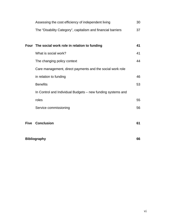|                     | Assessing the cost efficiency of independent living          | 30 |
|---------------------|--------------------------------------------------------------|----|
|                     | The "Disability Category", capitalism and financial barriers | 37 |
|                     |                                                              |    |
|                     | Four The social work role in relation to funding             | 41 |
|                     | What is social work?                                         | 41 |
|                     | The changing policy context                                  | 44 |
|                     | Care management, direct payments and the social work role    |    |
|                     | in relation to funding                                       | 46 |
|                     | <b>Benefits</b>                                              | 53 |
|                     | In Control and Individual Budgets - new funding systems and  |    |
|                     | roles                                                        | 55 |
|                     | Service commissioning                                        | 56 |
|                     |                                                              |    |
|                     | <b>Five Conclusion</b>                                       | 61 |
|                     |                                                              |    |
| <b>Bibliography</b> |                                                              | 66 |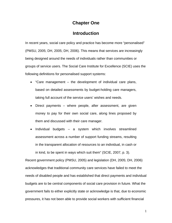# **Chapter One**

## **Introduction**

In recent years, social care policy and practice has become more "personalised" (PMSU, 2005; DH, 2005; DH, 2006). This means that services are increasingly being designed around the needs of individuals rather than communities or groups of service users. The Social Care Institute for Excellence (SCIE) uses the following definitions for personalised support systems:

- "Care management the development of individual care plans, based on detailed assessments by budget-holding care managers, taking full account of the service users' wishes and needs.
- Direct payments where people, after assessment, are given money to pay for their own social care, along lines proposed by them and discussed with their care manager.
- Individual budgets a system which involves streamlined assessment across a number of support funding streams, resulting in the transparent allocation of resources to an individual, in cash or in kind, to be spent in ways which suit them" (SCIE, 2007, p. 3).

Recent government policy (PMSU, 2005) and legislation (DH, 2005; DH, 2006) acknowledges that traditional community care services have failed to meet the needs of disabled people and has established that direct payments and individual budgets are to be central components of social care provision in future. What the government fails to either explicitly state or acknowledge is that, due to economic pressures, it has not been able to provide social workers with sufficient financial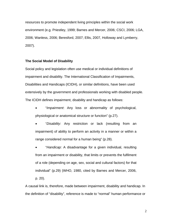resources to promote independent living principles within the social work environment (e.g. Priestley, 1999; Barnes and Mercer, 2006; CSCI, 2006; LGA, 2006; Wanless, 2006; Beresford, 2007; Ellis, 2007, Holloway and Lymberry, 2007).

#### **The Social Model of Disability**

Social policy and legislation often use medical or individual definitions of impairment and disability. The International Classification of Impairments, Disabilities and Handicaps (ICIDH), or similar definitions, have been used extensively by the government and professionals working with disabled people. The ICIDH defines impairment, disability and handicap as follows:

- "*Impairment*: Any loss or abnormality of psychological, physiological or anatomical structure or function" (p.27).
- "*Disability*: Any restriction or lack (resulting from an impairment) of ability to perform an activity in a manner or within a range considered normal for a human being" (p.28).
- "*Handicap:* A disadvantage for a given individual, resulting from an impairment or disability, that limits or prevents the fulfilment of a role (depending on age, sex, social and cultural factors) for that individual" (p.29) (WHO, 1980, cited by Barnes and Mercer, 2006, p. 20).

A causal link is, therefore, made between impairment, disability and handicap. In the definition of "disability", reference is made to "normal" human performance or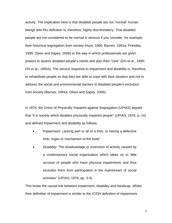activity. The implication here is that disabled people are not "normal" human beings and this definition is, therefore, highly discriminatory. That disabled people are not considered to be normal is obvious if you consider, for example, their historical segregation from society (Hunt, 1966; Barnes, 1991a; Priestley, 1999; Oliver and Sapey, 2006) or the way in which professionals are given powers to assess disabled people's needs and plan their "care" (DH et al., 1990; DH et al., 1991b). The service response to impairment and disability is, therefore, to rehabilitate people so that they are able to cope with their situation and not to address the social and environmental barriers to disabled people's exclusion from society (Barnes, 1991a; Oliver and Sapey, 2006).

In 1976, the Union of Physically Impaired against Segregation (UPIAS) argued that "it is society which disables physically impaired people" (UPIAS, 1976, p. 14) and defined impairment and disability as follows:

- • *"Impairment*: Lacking part or all of a limb, or having a defective limb, organ or mechanism of the body".
- • *Disability*: The disadvantage or restriction of activity caused by a contemporary social organisation which takes no or little account of people who have physical impairments and thus excludes them from participation in the mainstream of social activities" (UPIAS, 1976, pp. 3-4).

This broke the causal link between impairment, disability and handicap. Whilst their definition of impairment is similar to the ICIDH definition of impairment,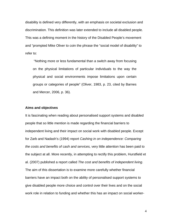disability is defined very differently, with an emphasis on societal exclusion and discrimination. This definition was later extended to include all disabled people. This was a defining moment in the history of the Disabled People's movement and "prompted Mike Oliver to coin the phrase the "social model of disability" to refer to:

 "Nothing more or less fundamental than a switch away from focusing on the physical limitations of particular individuals to the way the physical and social environments impose limitations upon certain groups or categories of people" (Oliver, 1983, p. 23, cited by Barnes and Mercer, 2006, p. 36).

#### **Aims and objectives**

It is fascinating when reading about personalised support systems and disabled people that so little mention is made regarding the financial barriers to independent living and their impact on social work with disabled people. Except for Zarb and Nadash's (1994) report *Cashing in on independence: Comparing the costs and benefits of cash and services,* very little attention has been paid to the subject at all. More recently, in attempting to rectify this problem, Hurstfield et al. (2007) published a report called *The cost and benefits of independent living*. The aim of this dissertation is to examine more carefully whether financial barriers have an impact both on the ability of personalised support systems to give disabled people more choice and control over their lives and on the social work role in relation to funding and whether this has an impact on social worker-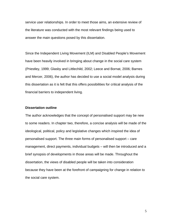service user relationships. In order to meet those aims, an extensive review of the literature was conducted with the most relevant findings being used to answer the main questions posed by this dissertation.

Since the Independent Living Movement (ILM) and Disabled People's Movement have been heavily involved in bringing about change in the social care system (Priestley, 1999; Glasby and Littlechild, 2002; Leece and Bornat, 2006; Barnes and Mercer, 2006), the author has decided to use a social model analysis during this dissertation as it is felt that this offers possibilities for critical analysis of the financial barriers to independent living.

#### **Dissertation outline**

The author acknowledges that the concept of personalised support may be new to some readers. In chapter two, therefore, a concise analysis will be made of the ideological, political, policy and legislative changes which inspired the idea of personalised support. The three main forms of personalised support – care management, direct payments, individual budgets – will then be introduced and a brief synopsis of developments in those areas will be made. Throughout the dissertation, the views of disabled people will be taken into consideration because they have been at the forefront of campaigning for change in relation to the social care system.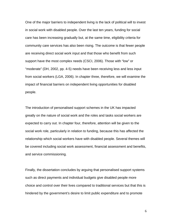One of the major barriers to independent living is the lack of political will to invest in social work with disabled people. Over the last ten years, funding for social care has been increasing gradually but, at the same time, eligibility criteria for community care services has also been rising. The outcome is that fewer people are receiving direct social work input and that those who benefit from such support have the most complex needs (CSCI, 2006). Those with "low" or "moderate" (DH, 2002, pp. 4-5) needs have been receiving less and less input from social workers (LGA, 2006). In chapter three, therefore, we will examine the impact of financial barriers on independent living opportunities for disabled people.

The introduction of personalised support schemes in the UK has impacted greatly on the nature of social work and the roles and tasks social workers are expected to carry out. In chapter four, therefore, attention will be given to the social work role, particularly in relation to funding, because this has affected the relationship which social workers have with disabled people. Several themes will be covered including social work assessment, financial assessment and benefits, and service commissioning.

Finally, the dissertation concludes by arguing that personalised support systems such as direct payments and individual budgets give disabled people more choice and control over their lives compared to traditional services but that this is hindered by the government's desire to limit public expenditure and to promote

 $\sim$  6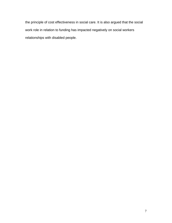the principle of cost effectiveness in social care. It is also argued that the social work role in relation to funding has impacted negatively on social workers relationships with disabled people.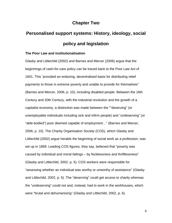# **Chapter Two**

# **Personalised support systems: History, ideology, social policy and legislation**

#### **The Poor Law and institutionalisation**

Glasby and Littlechild (2002) and Barnes and Mercer (2006) argue that the beginnings of cash-for-care policy can be traced back to the Poor Law Act of 1601. This "provided an enduring, decentralised basis for distributing relief payments to those in extreme poverty and unable to provide for themselves" (Barnes and Mercer, 2006, p. 10), including disabled people. Between the 16th Century and 20th Century, with the industrial revolution and the growth of a capitalist economy, a distinction was made between the ""deserving" (or unemployable individuals including sick and infirm people) and "undeserving" (or "able-bodied") poor deemed capable of employment…" (Barnes and Mercer, 2006, p. 10). The Charity Organisation Society (COS), which Glasby and Littlechild (2002) argue heralds the beginning of social work as a profession, was set up in 1869. Leading COS figures, they say, believed that "poverty was caused by individual and moral failings – by fecklessness and thriftlessness" (Glasby and Littlechild, 2002, p. 5). COS workers were responsible for "assessing whether an individual was worthy or unworthy of assistance" (Glasby and Littlechild, 2002, p. 5). The "deserving" could get access to charity whereas the "undeserving" could not and, instead, had to work in the workhouses, which were "brutal and dehumanising" (Glasby and Littlechild, 2002, p. 6).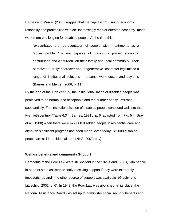Barnes and Mercer (2006) suggest that the capitalist "pursuit of economic rationality and profitability" with an "increasingly market-oriented economy" made work more challenging for disabled people. At the time this:

"exacerbated the representation of people with impairments as a "social problem" – not capable of making a proper economic contribution and a "burden" on their family and local community. Their perceived "unruly" character and "degenerative" character legitimised a range of institutional solutions – prisons, workhouses and asylums (Barnes and Mercer, 2006, p. 11).

By the end of the 19th century, the institutionalisation of disabled people was perceived to be normal and acceptable and the number of asylums rose substantially. The institutionalisation of disabled people continued well into the twentieth century (Table 6.3 in Barnes, 1991b, p. 6, adapted from Fig. 5 in Gray et al., 1988) when there were 422,000 disabled people in residential care and, although significant progress has been made, even today 346,000 disabled people are still in residential care (NHS, 2007, p. v).

#### **Welfare benefits and community Support**

Remnants of the Poor Law were still evident in the 1920s and 1930s, with people in need of state assistance "only receiving support if they were extremely impoverished and if no other source of support was available" (Glasby and Littlechild, 2002, p. 6). In 1948, the Poor Law was abolished. In its place, the National Assistance Board was set up to administer social security benefits and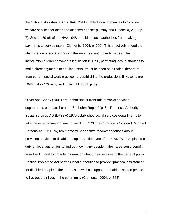the National Assistance Act (NAA) 1948 enabled local authorities to "provide welfare services for older and disabled people" (Glasby and Littlechild, 2002, p. 7). Section 29 (6) of the NAA 1948 prohibited local authorities from making payments to service users (Clements, 2004, p. 560). This effectively ended the identification of social work with the Poor Law and poverty issues. The introduction of direct payments legislation in 1996, permitting local authorities to make direct payments to service users, "must be seen as a radical departure from current social work practice, re-establishing the professions links to its pre-1948 history" (Glasby and Littlechild, 2002, p. 8).

Oliver and Sapey (2006) argue that "the current role of social services departments emanate from the Seebohm Report" (p. 8). The Local Authority Social Services Act (LASSA) 1970 established social services departments to take these recommendations forward. In 1970, the Chronically Sick and Disabled Persons Act (CSDPA) took forward Seebohm's recommendations about providing services to disabled people. Section One of the CSDPA 1970 placed a duty on local authorities to find out how many people in their area could benefit from the Act and to provide information about their services to the general public. Section Two of the Act permits local authorities to provide "practical assistance" for disabled people in their homes as well as support to enable disabled people to live out their lives in the community (Clements, 2004, p. 563).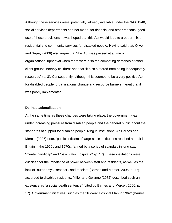Although these services were, potentially, already available under the NAA 1948, social services departments had not made, for financial and other reasons, good use of these provisions. It was hoped that this Act would lead to a better mix of residential and community services for disabled people. Having said that, Oliver and Sapey (2006) also argue that "this Act was passed at a time of organizational upheaval when there were also the competing demands of other client groups, notably children" and that "it also suffered from being inadequately resourced" (p. 8). Consequently, although this seemed to be a very positive Act for disabled people, organisational change and resource barriers meant that it was poorly implemented.

#### **De-institutionalisation**

At the same time as these changes were taking place, the government was under increasing pressure from disabled people and the general public about the standards of support for disabled people living in institutions. As Barnes and Mercer (2006) note, "public criticism of large-scale institutions reached a peak in Britain in the 1960s and 1970s, fanned by a series of scandals in long-stay "mental handicap" and "psychiatric hospitals"" (p. 17). These institutions were criticised for the imbalance of power between staff and residents, as well as the lack of "autonomy", "respect", and "choice" (Barnes and Mercer, 2006, p. 17) accorded to disabled residents. Miller and Gwynne (1972) described such an existence as "a social death sentence" (cited by Barnes and Mercer, 2006, p. 17). Government initiatives, such as the "10-year Hospital Plan in 1962" (Barnes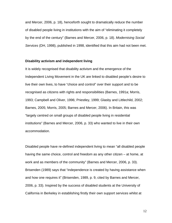and Mercer, 2006, p. 18), henceforth sought to dramatically reduce the number of disabled people living in institutions with the aim of "eliminating it completely by the end of the century" (Barnes and Mercer, 2006, p. 18). *Modernising Social Services* (DH, 1998), published in 1998, identified that this aim had not been met.

#### **Disability activism and independent living**

It is widely recognised that disability activism and the emergence of the Independent Living Movement in the UK are linked to disabled people's desire to live their own lives, to have "choice and control" over their support and to be recognised as citizens with rights and responsibilities (Barnes, 1991a; Morris, 1993; Campbell and Oliver, 1996; Priestley, 1999; Glasby and Littlechild, 2002; Barnes, 2005; Morris, 2005; Barnes and Mercer, 2006). In Britain, this was "largely centred on small groups of disabled people living in residential institutions" (Barnes and Mercer, 2006, p. 33) who wanted to live in their own accommodation.

Disabled people have re-defined independent living to mean "all disabled people having the same choice, control and freedom as any other citizen – at home, at work and as members of the community" (Barnes and Mercer, 2006, p. 33). Brisenden (1989) says that "independence is created by having assistance when and how one requires it" (Brisenden, 1989, p. 9, cited by Barnes and Mercer, 2006, p. 33). Inspired by the success of disabled students at the University of California in Berkeley in establishing firstly their own support services whilst at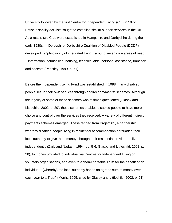University followed by the first Centre for Independent Living (CIL) in 1972, British disability activists sought to establish similar support services in the UK. As a result, two CILs were established in Hampshire and Derbyshire during the early 1980s. In Derbyshire, Derbyshire Coalition of Disabled People (DCDP) developed its "philosophy of integrated living…around seven core areas of need – information, counselling, housing, technical aids, personal assistance, transport and access" (Priestley, 1999, p. 71).

Before the Independent Living Fund was established in 1988, many disabled people set up their own services through "indirect payments" schemes. Although the legality of some of these schemes was at times questioned (Glasby and Littlechild, 2002, p. 20), these schemes enabled disabled people to have more choice and control over the services they received. A variety of different indirect payments schemes emerged. These ranged from Project 81, a partnership whereby disabled people living in residential accommodation persuaded their local authority to give them money, through their residential provider, to live independently (Zarb and Nadash, 1994, pp. 5-6; Glasby and Littlechild, 2002, p. 20), to money provided to individual via Centres for Independent Living or voluntary organisations, and even to a "non-charitable Trust for the benefit of an individual…(whereby) the local authority hands an agreed sum of money over each year to a Trust" (Morris, 1995, cited by Glasby and Littlechild, 2002, p. 21).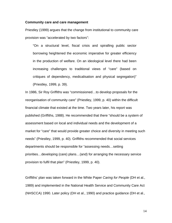#### **Community care and care management**

Priestley (1999) argues that the change from institutional to community care provision was "accelerated by two factors":

"On a structural level, fiscal crisis and spiralling public sector borrowing heightened the economic imperative for greater efficiency in the production of welfare. On an ideological level there had been increasing challenges to traditional views of "care" (based on critiques of dependency, medicalisation and physical segregation)" (Priestley, 1999, p. 39).

In 1986, Sir Roy Griffiths was "commissioned…to develop proposals for the reorganisation of community care" (Priestley, 1999, p. 40) within the difficult financial climate that existed at the time. Two years later, his report was published (Griffiths, 1988). He recommended that there "should be a system of assessment based on local and individual needs and the development of a market for "care" that would provide greater choice and diversity in meeting such needs" (Priestley, 1999, p. 40). Griffiths recommended that social services departments should be responsible for "assessing needs…setting priorities…developing (care) plans…(and) for arranging the necessary service provision to fulfil that plan" (Priestley, 1999, p. 40).

Griffiths' plan was taken forward in the White Paper *Caring for People* (DH et al., 1989) and implemented in the National Health Service and Community Care Act (NHSCCA) 1990. Later policy (DH et al., 1990) and practice guidance (DH et al.,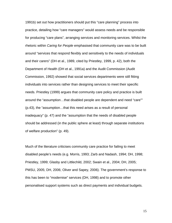1991b) set out how practitioners should put this "care planning" process into practice, detailing how "care managers" would assess needs and be responsible for producing "care plans", arranging services and monitoring services. Whilst the rhetoric within *Caring for People* emphasised that community care was to be built around "services that respond flexibly and sensitively to the needs of individuals and their carers" (DH et al., 1989, cited by Priestley, 1999, p. 42), both the Department of Health (DH et al., 1991a) and the Audit Commission (Audit Commission, 1992) showed that social services departments were still fitting individuals into services rather than designing services to meet their specific needs. Priestley (1999) argues that community care policy and practice is built around the "assumption…that disabled people are dependent and need "care"" (p.43), the "assumption…that this need arises as a result of personal inadequacy" (p. 47) and the "assumption that the needs of disabled people should be addressed (in the public sphere at least) through separate institutions of welfare production" (p. 49).

Much of the literature criticises community care practice for failing to meet disabled people's needs (e.g. Morris, 1993; Zarb and Nadash, 1994; DH, 1998; Priestley, 1999; Glasby and Littlechild, 2002; Swain et al., 2004; DH, 2005; PMSU, 2005; DH, 2006; Oliver and Sapey, 2006). The government's response to this has been to "modernise" services (DH, 1998) and to promote other personalised support systems such as direct payments and individual budgets.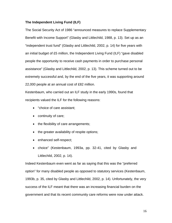#### **The Independent Living Fund (ILF)**

The Social Security Act of 1986 "announced measures to replace Supplementary Benefit with Income Support" (Glasby and Littlechild, 1988, p. 13). Set up as an "independent trust fund" (Glasby and Littlechild, 2002, p. 14) for five years with an initial budget of £5 million, the Independent Living Fund (ILF) "gave disabled people the opportunity to receive cash payments in order to purchase personal assistance" (Glasby and Littlechild, 2002, p. 13). This scheme turned out to be extremely successful and, by the end of the five years, it was supporting around 22,000 people at an annual cost of £82 million.

Kestenbaum, who carried out an ILF study in the early 1990s, found that recipients valued the ILF for the following reasons:

- "choice of care assistant;
- continuity of care;
- the flexibility of care arrangements;
- the greater availability of respite options;
- enhanced self-respect;
- choice" (Kestenbaum, 1993a, pp. 32-41, cited by Glasby and Littlechild, 2002, p. 14).

Indeed Kestenbaum even went as far as saying that this was the "preferred option" for many disabled people as opposed to statutory services (Kestenbaum, 1993b, p. 35, cited by Glasby and Littlechild, 2002, p. 14). Unfortunately, the very success of the ILF meant that there was an increasing financial burden on the government and that its recent community care reforms were now under attack.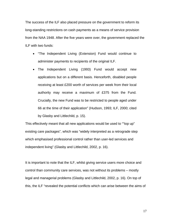The success of the ILF also placed pressure on the government to reform its long-standing restrictions on cash payments as a means of service provision from the NAA 1948. After the five years were over, the government replaced the ILF with two funds:

- "The Independent Living (Extension) Fund would continue to administer payments to recipients of the original ILF.
- The Independent Living (1993) Fund would accept new applications but on a different basis. Henceforth, disabled people receiving at least £200 worth of services per week from their local authority may receive a maximum of £375 from the Fund. Crucially, the new Fund was to be restricted to people aged under 66 at the time of their application" (Hudson, 1993; ILF, 2000; cited by Glasby and Littlechild, p. 15).

This effectively meant that all new applications would be used to ""top up" existing care packages", which was "widely interpreted as a retrograde step which emphasised professional control rather than user-led services and independent living" (Glasby and Littlechild, 2002, p. 16).

It is important to note that the ILF, whilst giving service users more choice and control than community care services, was not without its problems – mostly legal and managerial problems (Glasby and Littlechild, 2002, p. 16). On top of this, the ILF "revealed the potential conflicts which can arise between the aims of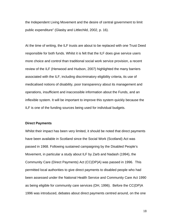the Independent Living Movement and the desire of central government to limit public expenditure" (Glasby and Littlechild, 2002, p. 16).

At the time of writing, the ILF trusts are about to be replaced with one Trust Deed responsible for both funds. Whilst it is felt that the ILF does give service users more choice and control than traditional social work service provision, a recent review of the ILF (Henwood and Hudson, 2007) highlighted the many barriers associated with the ILF, including discriminatory eligibility criteria, its use of medicalised notions of disability, poor transparency about its management and operations, insufficient and inaccessible information about the Funds, and an inflexible system. It will be important to improve this system quickly because the ILF is one of the funding sources being used for individual budgets.

#### **Direct Payments**

Whilst their impact has been very limited, it should be noted that direct payments have been available in Scotland since the Social Work (Scotland) Act was passed in 1968. Following sustained campaigning by the Disabled People's Movement, in particular a study about ILF by Zarb and Nadash (1994), the Community Care (Direct Payments) Act (CC(DP)A) was passed in 1996. This permitted local authorities to give direct payments to disabled people who had been assessed under the National Health Service and Community Care Act 1990 as being eligible for community care services (DH, 1996). Before the CC(DP)A 1996 was introduced, debates about direct payments centred around, on the one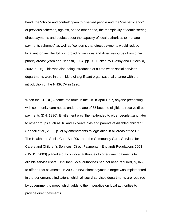hand, the "choice and control" given to disabled people and the "cost-efficiency" of previous schemes, against, on the other hand, the "complexity of administering direct payments and doubts about the capacity of local authorities to manage payments schemes" as well as "concerns that direct payments would reduce local authorities' flexibility in providing services and divert resources from other priority areas" (Zarb and Nadash, 1994, pp. 9-11, cited by Glasby and Littlechild, 2002, p. 25). This was also being introduced at a time when social services departments were in the middle of significant organisational change with the introduction of the NHSCCA in 1990.

When the CC(DP)A came into force in the UK in April 1997, anyone presenting with community care needs under the age of 65 became eligible to receive direct payments (DH, 1996). Entitlement was "then extended to older people…and later to other groups such as 16 and 17 years olds and parents of disabled children" (Riddell et al., 2006, p. 2) by amendments to legislation in all areas of the UK. The Health and Social Care Act 2001 and the Community Care, Services for Carers and Children's Services (Direct Payments) (England) Regulations 2003 (HMSO, 2003) placed a duty on local authorities to offer direct payments to eligible service users. Until then, local authorities had not been required, by law, to offer direct payments. In 2003, a new direct payments target was implemented in the performance indicators, which all social services departments are required by government to meet, which adds to the imperative on local authorities to provide direct payments.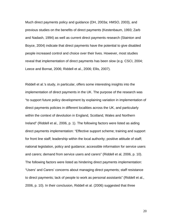Much direct payments policy and guidance (DH, 2003a; HMSO, 2003), and previous studies on the benefits of direct payments (Kestenbaum, 1993; Zarb and Nadash, 1994) as well as current direct payments research (Stainton and Boyce, 2004) indicate that direct payments have the potential to give disabled people increased control and choice over their lives. However, most studies reveal that implementation of direct payments has been slow (e.g. CSCI, 2004; Leece and Bornat, 2006; Riddell et al., 2006; Ellis, 2007).

Riddell et al.'s study, in particular, offers some interesting insights into the implementation of direct payments in the UK. The purpose of the research was "to support future policy development by explaining variation in implementation of direct payments policies in different localities across the UK, and particularly within the context of devolution in England, Scotland, Wales and Northern Ireland" (Riddell et al., 2006, p. 1). The following factors were listed as aiding direct payments implementation: "Effective support scheme; training and support for front line staff; leadership within the local authority; positive attitude of staff; national legislation, policy and guidance; accessible information for service users and carers; demand from service users and carers" (Riddell et al, 2006, p. 10). The following factors were listed as hindering direct payments implementation: "Users' and Carers' concerns about managing direct payments; staff resistance to direct payments; lack of people to work as personal assistants" (Riddell et al., 2006, p. 10). In their conclusion, Riddell et al. (2006) suggested that three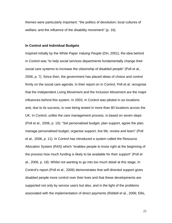themes were particularly important: "the politics of devolution; local cultures of welfare; and the influence of the disability movement" (p. 16).

#### **In Control and Individual Budgets**

Inspired initially by the White Paper *Valuing People* (DH, 2001), the idea behind in Control was "to help social services departments fundamentally change their social care systems to increase the citizenship of disabled people" (Poll et al., 2006, p. 7). Since then, the government has placed ideas of choice and control firmly on the social care agenda. In their report on In Control, Poll et al. recognise that the Independent Living Movement and the Inclusion Movement are the major influences behind this system. In 2003, In Control was piloted in six locations and, due to its success, is now being tested in more than 80 locations across the UK. In Control, unlike the care management process, is based on seven steps (Poll et al., 2006, p. 10): "Set personalised budget, plan support, agree the plan, manage personalised budget, organise support, live life, review and learn" (Poll et al., 2006, p. 11). In Control has introduced a system called the Resource Allocation System (RAS) which "enables people to know right at the beginning of the process how much funding is likely to be available for their support" (Poll et al., 2006, p. 18). Whilst not wanting to go into too much detail at this stage, In Control's report (Poll et al., 2006) demonstrates that self-directed support gives disabled people more control over their lives and that these developments are supported not only by service users but also, and in the light of the problems associated with the implementation of direct payments (Riddell et al., 2006; Ellis,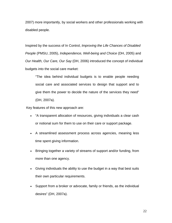2007) more importantly, by social workers and other professionals working with disabled people.

Inspired by the success of In Control, *Improving the Life Chances of Disabled People* (PMSU, 2005), *Independence, Well-being and Choice* (DH, 2005) and *Our Health, Our Care, Our Say* (DH, 2006) introduced the concept of individual budgets into the social care market:

"The idea behind individual budgets is to enable people needing social care and associated services to design that support and to give them the power to decide the nature of the services they need" (DH, 2007a).

Key features of this new approach are:

- "A transparent allocation of resources, giving individuals a clear cash or notional sum for them to use on their care or support package.
- A streamlined assessment process across agencies, meaning less time spent giving information.
- Bringing together a variety of streams of support and/or funding, from more than one agency.
- Giving individuals the ability to use the budget in a way that best suits their own particular requirements.
- Support from a broker or advocate, family or friends, as the individual desires" (DH, 2007a).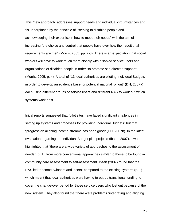This "new approach" addresses support needs and individual circumstances and "is underpinned by the principle of listening to disabled people and acknowledging their expertise in how to meet their needs" with the aim of increasing "the choice and control that people have over how their additional requirements are met" (Morris, 2005, pp. 2-3). There is an expectation that social workers will have to work much more closely with disabled service users and organisations of disabled people in order "to promote self-directed support" (Morris, 2005, p. 4). A total of "13 local authorities are piloting Individual Budgets in order to develop an evidence base for potential national roll out" (DH, 2007a) each using different groups of service users and different RAS to work out which systems work best.

Initial reports suggested that "pilot sites have faced significant challenges in setting up systems and processes for providing Individual Budgets" but that "progress on aligning income streams has been good" (DH, 2007b). In the latest evaluation regarding the Individual Budget pilot projects (Ibsen, 2007), it was highlighted that "there are a wide variety of approaches to the assessment of needs" (p. 1), from more conventional approaches similar to those to be found in community care assessment to self-assessment. Ibsen (2007) found that the RAS led to "some "winners and losers" compared to the existing system" (p. 1) which meant that local authorities were having to put up transitional funding to cover the change-over period for those service users who lost out because of the new system. They also found that there were problems "integrating and aligning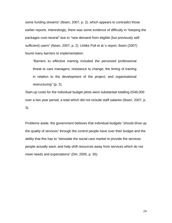some funding streams" (Ibsen, 2007, p. 2), which appears to contradict those earlier reports. Interestingly, there was some evidence of difficulty in "keeping the packages cost-neutral" due to "new demand from eligible (but previously selfsufficient) users" (Ibsen, 2007, p. 2). Unlike Poll et al.'s report, Ibsen (2007) found many barriers to implementation:

"Barriers to effective training included the perceived professional threat to care managers; resistance to change; the timing of training in relation to the development of the project; and organisational restructuring" (p. 2).

Start-up costs for the individual budget pilots were substantial totalling £546,000 over a two year period, a total which did not include staff salaries (Ibsen, 2007, p. 3).

Problems aside, the government believes that individual budgets "should drive up the quality of services" through the control people have over their budget and the ability that this has to "stimulate the social care market to provide the services people actually want, and help shift resources away from services which do not meet needs and expectations" (DH, 2005, p. 35).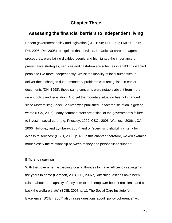# **Chapter Three**

# **Assessing the financial barriers to independent living**

Recent government policy and legislation (DH, 1998; DH, 2001; PMSU, 2005; DH, 2005; DH, 2006) recognised that services, in particular care management procedures, were failing disabled people and highlighted the importance of preventative strategies, services and cash-for-care schemes in enabling disabled people to live more independently. Whilst the inability of local authorities to deliver these changes due to monetary problems was recognised in earlier documents (DH, 1998), these same concerns were notably absent from more recent policy and legislation. And yet the monetary situation has not changed since *Modernising Social Services* was published. In fact the situation is getting worse (LGA, 2006). Many commentators are critical of the government's failure to invest in social care (e.g. Priestley, 1999; CSCI, 2006; Wanless, 2006; LGA, 2006, Holloway and Lymberry, 2007) and of "ever-rising eligibility criteria for access to services" (CSCI, 2006, p. iv). In this chapter, therefore, we will examine more closely the relationship between money and personalised support.

#### **Efficiency savings**

With the government expecting local authorities to make "efficiency savings" in the years to come (Gershon, 2004; DH, 2007c), difficult questions have been raised about the "capacity of a system to both empower benefit recipients and cut back the welfare state" (SCIE, 2007, p. 1). The Social Care Institute for Excellence (SCIE) (2007) also raises questions about "policy coherence" with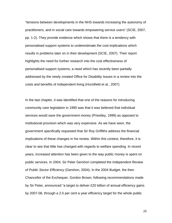"tensions between developments in the NHS towards increasing the autonomy of practitioners, and in social care towards empowering service users" (SCIE, 2007, pp. 1-2). They provide evidence which shows that there is a tendency with personalised support systems to underestimate the cost implications which results in problems later on in their development (SCIE, 2007). Their report highlights the need for further research into the cost effectiveness of personalised support systems, a need which has recently been partially addressed by the newly created Office for Disability Issues in a review into the costs and benefits of independent living (Hurstfield et al., 2007).

In the last chapter, it was identified that one of the reasons for introducing community care legislation in 1990 was that it was believed that individual services would save the government money (Priestley, 1999) as opposed to institutional provision which was very expensive. As we have seen, the government specifically requested that Sir Roy Griffiths address the financial implications of these changes in his review. Within this context, therefore, it is clear to see that little has changed with regards to welfare spending. In recent years, increased attention has been given to the way public money is spent on public services. In 2004, Sir Peter Gershon completed the *Independent Review of Public Sector Efficiency* (Gershon, 2004). In the 2004 Budget, the then Chancellor of the Exchequer, Gordon Brown, following recommendations made by Sir Peter, announced "a target to deliver £20 billion of annual efficiency gains by 2007-08, through a 2.5 per cent a year efficiency target for the whole public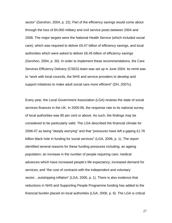sector" (Gershon, 2004, p. 22). Part of the efficiency savings would come about through the loss of 84,000 military and civil service posts between 2004 and 2008. The major targets were the National Health Service (which included social care), which was required to deliver £6.47 billion of efficiency savings, and local authorities which were asked to deliver £6.45 billion of efficiency savings (Gershon, 2004, p. 30). In order to implement these recommendations, the Care Services Efficiency Delivery (CSED) team was set up in June 2004. Its remit was to "work with local councils, the NHS and service providers to develop and support initiatives to make adult social care more efficient" (DH, 2007c).

Every year, the Local Government Association (LGA) reviews the state of social services finances in the UK. In 2005-06, the response rate to its national survey of local authorities was 80 per cent or above. As such, the findings may be considered to be particularly valid. The LGA described the financial climate for 2006-07 as being "deeply worrying" and that "pressures have left a gaping £1.76 billion black hole in funding for social services" (LGA, 2006, p. 1). The report identified several reasons for these funding pressures including: an ageing population; an increase in the number of people requiring care; medical advances which have increased people's life expectancy; increased demand for services; and "the cost of contracts with the independent and voluntary sector…outstripping inflation" (LGA, 2006, p. 1). There is also evidence that reductions in NHS and Supporting People Programme funding has added to the financial burden placed on local authorities (LGA, 2006, p. 6). The LGA is critical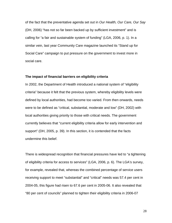of the fact that the preventative agenda set out in *Our Health, Our Care, Our Say* (DH, 2006) "has not so far been backed up by sufficient investment" and is calling for "a fair and sustainable system of funding" (LGA, 2006, p. 1). In a similar vein, last year Community Care magazine launched its "Stand up for Social Care" campaign to put pressure on the government to invest more in social care.

#### **The impact of financial barriers on eligibility criteria**

In 2002, the Department of Health introduced a national system of "eligibility criteria" because it felt that the previous system, whereby eligibility levels were defined by local authorities, had become too varied. From then onwards, needs were to be defined as "critical, substantial, moderate and low" (DH, 2002) with local authorities giving priority to those with critical needs. The government currently believes that "current eligibility criteria allow for early intervention and support" (DH, 2005, p. 39). In this section, it is contended that the facts undermine this belief.

There is widespread recognition that financial pressures have led to "a tightening of eligibility criteria for access to services" (LGA, 2006, p. 6). The LGA's survey, for example, revealed that, whereas the combined percentage of service users receiving support to meet "substantial" and "critical" needs was 57.4 per cent in 2004-05, this figure had risen to 67.6 per cent in 2005-06. It also revealed that "80 per cent of councils" planned to tighten their eligibility criteria in 2006-07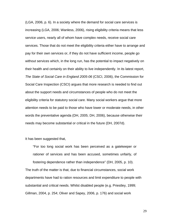(LGA, 2006, p. 6). In a society where the demand for social care services is increasing (LGA, 2006; Wanless, 2006), rising eligibility criteria means that less service users, nearly all of whom have complex needs, receive social care services. Those that do not meet the eligibility criteria either have to arrange and pay for their own services or, if they do not have sufficient income, people go without services which, in the long run, has the potential to impact negatively on their health and certainly on their ability to live independently. In its latest report, *The State of Social Care in England 2005-06* (CSCI, 2006), the Commission for Social Care Inspection (CSCI) argues that more research is needed to find out about the support needs and circumstances of people who do not meet the eligibility criteria for statutory social care. Many social workers argue that more attention needs to be paid to those who have lower or moderate needs, in other words the preventative agenda (DH, 2005; DH, 2006), because otherwise their needs may become substantial or critical in the future (DH, 2007d).

It has been suggested that,

"For too long social work has been perceived as a gatekeeper or rationer of services and has been accused, sometimes unfairly, of fostering dependence rather than independence" (DH, 2005, p. 10). The truth of the matter is that, due to financial circumstances, social work departments have had to ration resources and limit expenditure to people with

Gillman, 2004, p. 254; Oliver and Sapey, 2006, p. 176) and social work

substantial and critical needs. Whilst disabled people (e.g. Priestley, 1999;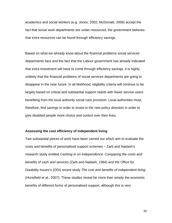academics and social workers (e.g. Jones, 2002; McDonald, 2006) accept the fact that social work departments are under-resourced, the government believes that extra resources can be found through efficiency savings.

Based on what we already know about the financial problems social services departments face and the fact that the Labour government has already indicated that extra investment will have to come through efficiency savings, it is highly unlikely that the financial problems of social services departments are going to disappear in the near future. In all likelihood, eligibility criteria will continue to be largely based on critical and substantial support needs with fewer service users benefiting from the local authority social care provision. Local authorities must, therefore, find savings in order to invest in the new policy direction in order to give disabled people more choice and control over their lives.

#### **Assessing the cost efficiency of independent living**

Two substantial pieces of work have been carried out which aim to evaluate the costs and benefits of personalised support schemes – Zarb and Nadash's research study entitled *Cashing in on independence: Comparing the costs and benefits of cash and services* (Zarb and Nadash, 1994) and the Office for Disability Issues's (ODI) recent study *The cost and benefits of independent living* (Hurstfield et al., 2007). These studies reveal far more than simply the economic benefits of different forms of personalised support, although this is very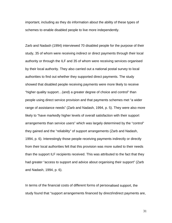important, including as they do information about the ability of these types of schemes to enable disabled people to live more independently.

Zarb and Nadash (1994) interviewed 70 disabled people for the purpose of their study, 35 of whom were receiving indirect or direct payments through their local authority or through the ILF and 35 of whom were receiving services organised by their local authority. They also carried out a national postal survey to local authorities to find out whether they supported direct payments. The study showed that disabled people receiving payments were more likely to receive "higher quality support…(and) a greater degree of choice and control" than people using direct service provision and that payments schemes met "a wider range of assistance needs" (Zarb and Nadash, 1994, p. 5). They were also more likely to "have markedly higher levels of overall satisfaction with their support arrangements than service users" which was largely determined by the "control" they gained and the "reliability" of support arrangements (Zarb and Nadash, 1994, p. 6). Interestingly those people receiving payments indirectly or directly from their local authorities felt that this provision was more suited to their needs than the support ILF recipients received. This was attributed to the fact that they had greater "access to support and advice about organising their support" (Zarb and Nadash, 1994, p. 6).

In terms of the financial costs of different forms of personalised support, the study found that "support arrangements financed by direct/indirect payments are,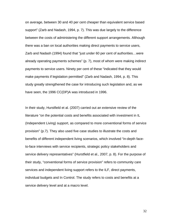on average, between 30 and 40 per cent cheaper than equivalent service based support" (Zarb and Nadash, 1994, p. 7). This was due largely to the difference between the costs of administering the different support arrangements. Although there was a ban on local authorities making direct payments to service users, Zarb and Nadash (1994) found that "just under 60 per cent of authorities…were already operating payments schemes" (p. 7), most of whom were making indirect payments to service users. Ninety per cent of these "indicated that they would make payments if legislation permitted" (Zarb and Nadash, 1994, p. 8). This study greatly strengthened the case for introducing such legislation and, as we have seen, the 1996 CC(DP)A was introduced in 1996.

In their study, Hurstfield et al. (2007) carried out an extensive review of the literature "on the potential costs and benefits associated with investment in IL (Independent Living) support, as compared to more conventional forms of service provision" (p.7). They also used five case studies to illustrate the costs and benefits of different independent living scenarios, which involved "in-depth faceto-face interviews with service recipients, strategic policy stakeholders and service delivery representatives" (Hurstfield et al., 2007, p. 8). For the purpose of their study, "conventional forms of service provision" refers to community care services and independent living support refers to the ILF, direct payments, individual budgets and In Control. The study refers to costs and benefits at a service delivery level and at a macro level.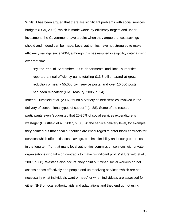Whilst it has been argued that there are significant problems with social services budgets (LGA, 2006), which is made worse by efficiency targets and underinvestment, the Government have a point when they argue that cost savings should and indeed can be made. Local authorities have not struggled to make efficiency savings since 2004, although this has resulted in eligibility criteria rising over that time.

"By the end of September 2006 departments and local authorities reported annual efficiency gains totalling £13.3 billion...(and a) gross reduction of nearly 55,000 civil service posts, and over 10,500 posts had been relocated" (HM Treasury, 2006, p. 24).

Indeed, Hurstfield et al. (2007) found a "variety of inefficiencies involved in the delivery of conventional types of support" (p. 88). Some of the research participants even "suggested that 20-30% of social services expenditure is wastage" (Hurstfield et al., 2007, p. 88). At the service delivery level, for example, they pointed out that "local authorities are encouraged to enter block contracts for services which offer initial cost savings, but limit flexibility and incur greater costs in the long term" or that many local authorities commission services with private organisations who take on contracts to make "significant profits" (Hurstfield et al., 2007, p. 88). Wastage also occurs, they point out, when social workers do not assess needs effectively and people end up receiving services "which are not necessarily what individuals want or need" or when individuals are assessed for either NHS or local authority aids and adaptations and they end up not using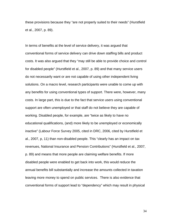these provisions because they "are not properly suited to their needs" (Hurstfield et al., 2007, p. 89).

In terms of benefits at the level of service delivery, it was argued that conventional forms of service delivery can drive down staffing bills and product costs. It was also argued that they "may still be able to provide choice and control for disabled people" (Hurstfield et al., 2007, p. 89) and that many service users do not necessarily want or are not capable of using other independent living solutions. On a macro level, research participants were unable to come up with any benefits for using conventional types of support. There were, however, many costs. In large part, this is due to the fact that service users using conventional support are often unemployed or that staff do not believe they are capable of working. Disabled people, for example, are "twice as likely to have no educational qualifications, (and) more likely to be unemployed or economically inactive" (Labour Force Survey 2005, cited in DRC, 2006, cited by Hurstfield et al., 2007, p, 11) than non-disabled people. This "clearly has an impact on tax revenues, National Insurance and Pension Contributions" (Hurstfield et al., 2007, p. 89) and means that more people are claiming welfare benefits. If more disabled people were enabled to get back into work, this would reduce the annual benefits bill substantially and increase the amounts collected in taxation leaving more money to spend on public services. There is also evidence that conventional forms of support lead to "dependency" which may result in physical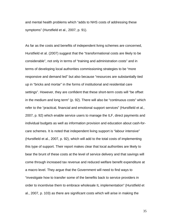and mental health problems which "adds to NHS costs of addressing these symptoms" (Hurstfield et al., 2007, p. 91).

As far as the costs and benefits of independent living schemes are concerned, Hurstfield et al. (2007) suggest that the "transformational costs are likely to be considerable", not only in terms of "training and administration costs" and in terms of developing local authorities commissioning strategies to be "more responsive and demand led" but also because "resources are substantially tied up in "bricks and mortar" in the forms of institutional and residential care settings". However, they are confident that these short-term costs will "be offset in the medium and long term" (p. 92). There will also be "continuous costs" which refer to the "practical, financial and emotional support services" (Hurstfield et al., 2007, p. 92) which enable service users to manage the ILF, direct payments and individual budgets as well as information provision and education about cash-forcare schemes. It is noted that independent living support is "labour intensive" (Hurstfield et al., 2007, p. 92), which will add to the total costs of implementing this type of support. Their report makes clear that local authorities are likely to bear the brunt of these costs at the level of service delivery and that savings will come through increased tax revenue and reduced welfare benefit expenditure at a macro level. They argue that the Government will need to find ways to "investigate how to transfer some of the benefits back to service providers in order to incentivise them to embrace wholesale IL implementation" (Hurstfield et al., 2007, p. 103) as there are significant costs which will arise in making the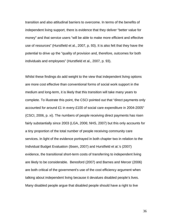transition and also attitudinal barriers to overcome. In terms of the benefits of independent living support, there is evidence that they deliver "better value for money" and that service users "will be able to make more efficient and effective use of resources" (Hurstfield et al., 2007, p. 93). It is also felt that they have the potential to drive up the "quality of provision and, therefore, outcomes for both individuals and employees" (Hurstfield et al., 2007, p. 93).

Whilst these findings do add weight to the view that independent living options are more cost effective than conventional forms of social work support in the medium and long-term, it is likely that this transition will take many years to complete. To illustrate this point, the CSCI pointed out that "direct payments only accounted for around £1 in every £100 of social care expenditure in 2004-2005" (CSCI, 2006, p. xi). The numbers of people receiving direct payments has risen fairly substantially since 2003 (LGA, 2006; NHS, 2007) but this only accounts for a tiny proportion of the total number of people receiving community care services. In light of the evidence portrayed in both chapter two in relation to the Individual Budget Evaluation (Ibsen, 2007) and Hurstfield et al.'s (2007) evidence, the transitional short-term costs of transferring to independent living are likely to be considerable. Beresford (2007) and Barnes and Mercer (2006) are both critical of the government's use of the cost efficiency argument when talking about independent living because it devalues disabled people's lives. Many disabled people argue that disabled people should have a right to live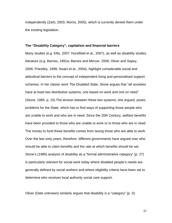independently (Zarb, 2003; Morris, 2005), which is currently denied them under the existing legislation.

#### **The "Disability Category", capitalism and financial barriers**

Many studies (e.g. Ellis, 2007; Hurstfield et al., 2007), as well as disability studies literature (e.g. Barnes, 1991a; Barnes and Mercer, 2006; Oliver and Sapey, 2006; Priestley, 1999; Swain et al., 2004), highlight considerable social and attitudinal barriers to the concept of independent living and personalised support schemes. In her classic work *The Disabled State,* Stone argues that "all societies have at least two distributive systems, one based on work and one on need" (Stone, 1985, p. 15).The tension between these two systems, she argued, poses problems for the State, which has to find ways of supporting those people who are unable to work and who are in need. Since the 20th Century, welfare benefits have been provided to those who are unable to work or to those who are in need. The money to fund these benefits comes from taxing those who are able to work. Over the last sixty years, therefore, different governments have argued over who should be able to claim benefits and the rate at which benefits should be set. Stone's (1985) analysis of disability as a "formal administrative category" (p. 27) is particularly relevant for social work today where disabled people's needs are generally defined by social workers and where eligibility criteria have been set to determine who receives local authority social care support.

Oliver (Date unknown) similarly argues that disability is a "category" (p. 3):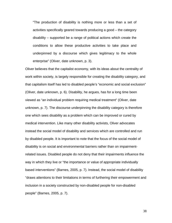"The production of disability is nothing more or less than a set of activities specifically geared towards producing a good – the category disability – supported be a range of political actions which create the conditions to allow these productive activities to take place and underpinned by a discourse which gives legitimacy to the whole enterprise" (Oliver, date unknown, p. 3).

Oliver believes that the capitalist economy, with its ideas about the centrality of work within society, is largely responsible for creating the disability category, and that capitalism itself has led to disabled people's "economic and social exclusion" (Oliver, date unknown, p. 6). Disability, he argues, has for a long time been viewed as "an individual problem requiring medical treatment" (Oliver, date unknown, p. 7). The discourse underpinning the disability category is therefore one which sees disability as a problem which can be improved or cured by medical intervention. Like many other disability activists, Oliver advocates instead the social model of disability and services which are controlled and run by disabled people. It is important to note that the focus of the social model of disability is on social and environmental barriers rather than on impairmentrelated issues. Disabled people do not deny that their impairments influence the way in which they live or "the importance or value of appropriate individually based interventions" (Barnes, 2005, p. 7). Instead, the social model of disability "draws attentions to their limitations in terms of furthering their empowerment and inclusion in a society constructed by non-disabled people for non-disabled people" (Barnes, 2005, p. 7).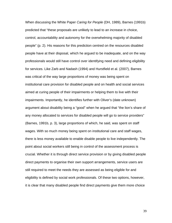When discussing the White Paper *Caring for People* (DH, 1989), Barnes (1991b) predicted that "these proposals are unlikely to lead to an increase in choice, control, accountability and autonomy for the overwhelming majority of disabled people" (p. 2). His reasons for this prediction centred on the resources disabled people have at their disposal, which he argued to be inadequate, and on the way professionals would still have control over identifying need and defining eligibility for services. Like Zarb and Nadash (1994) and Hurstfield et al. (2007), Barnes was critical of the way large proportions of money was being spent on institutional care provision for disabled people and on health and social services aimed at curing people of their impairments or helping them to live with their impairments. Importantly, he identifies further with Oliver's (date unknown) argument about disability being a "good" when he argued that "the lion's share of any money allocated to services for disabled people will go to service providers" (Barnes, 1991b, p. 3), large proportions of which, he said, was spent on staff wages. With so much money being spent on institutional care and staff wages, there is less money available to enable disable people to live independently. The point about social workers still being in control of the assessment process is crucial. Whether it is through direct service provision or by giving disabled people direct payments to organise their own support arrangements, service users are still required to meet the needs they are assessed as being eligible for and eligibility is defined by social work professionals. Of these two options, however, it is clear that many disabled people find direct payments give them more choice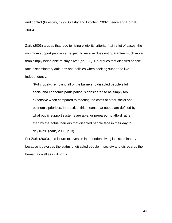and control (Priestley, 1999; Glasby and Littlchild, 2002; Leece and Bornat, 2006).

Zarb (2003) argues that, due to rising eligibility criteria, "…in a lot of cases, the minimum support people can expect to receive does not guarantee much more than simply being able to stay alive" (pp. 2-3). He argues that disabled people face discriminatory attitudes and policies when seeking support to live independently:

"Put crudely, removing all of the barriers to disabled people's full social and economic participation is considered to be simply too expensive when compared to meeting the costs of other social and economic priorities. In practice, this means that needs are defined by what public support systems are able, or prepared, to afford rather than by the actual barriers that disabled people face in their day to day lives" (Zarb, 2003, p. 3).

For Zarb (2003), this failure to invest in independent living is discriminatory because it devalues the status of disabled people in society and disregards their human as well as civil rights.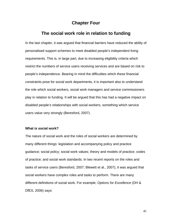### **Chapter Four**

### **The social work role in relation to funding**

In the last chapter, it was argued that financial barriers have reduced the ability of personalised support schemes to meet disabled people's independent living requirements. This is, in large part, due to increasing eligibility criteria which restrict the numbers of service users receiving services and are based on risk to people's independence. Bearing in mind the difficulties which these financial constraints pose for social work departments, it is important also to understand the role which social workers, social work managers and service commissioners play in relation to funding. It will be argued that this has had a negative impact on disabled people's relationships with social workers, something which service users value very strongly (Beresford, 2007).

### **What is social work?**

The nature of social work and the roles of social workers are determined by many different things: legislation and accompanying policy and practice guidance; social policy; social work values; theory and models of practice; codes of practice; and social work standards. In two recent reports on the roles and tasks of service users (Beresford, 2007; Blewett et al., 2007), it was argued that social workers have complex roles and tasks to perform. There are many different definitions of social work. For example, *Options for Excellence* (DH & DfES, 2006) says: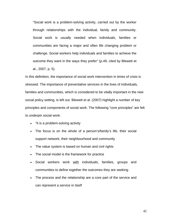"Social work is a problem-solving activity, carried out by the worker through relationships with the individual, family and community. Social work is usually needed when individuals, families or communities are facing a major and often life changing problem or challenge. Social workers help individuals and families to achieve the outcome they want in the ways they prefer" (p.49, cited by Blewett et al., 2007, p. 5).

In this definition, the importance of social work intervention in times of crisis is stressed. The importance of preventative services in the lives of individuals, families and communities, which is considered to be vitally important in the new social policy setting, is left out. Blewett et al. (2007) highlight a number of key principles and components of social work. The following "core principles" are felt to underpin social work:

- "It is a problem-solving activity
- The focus is on the whole of a person's/family's life, their social support network, their neighbourhood and community
- The value system is based on human and civil rights
- The social model is the framework for practice
- Social workers work with individuals, families, groups and communities to define together the outcomes they are seeking
- The process and the relationship are a core part of the service and can represent a service in itself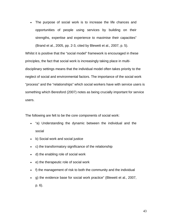• The purpose of social work is to increase the life chances and opportunities of people using services by building on their strengths, expertise and experience to maximise their capacities" (Brand et al., 2005, pp. 2-3, cited by Blewett et al., 2007, p. 5).

Whilst it is positive that the "social model" framework is encouraged in these principles, the fact that social work is increasingly taking place in multidisciplinary settings means that the individual model often takes priority to the neglect of social and environmental factors. The importance of the social work "process" and the "relationships" which social workers have with service users is something which Beresford (2007) notes as being crucially important for service users.

The following are felt to be the core components of social work:

- "a) Understanding the dynamic between the individual and the social
- b) Social work and social justice
- c) the transformatory significance of the relationship
- d) the enabling role of social work
- e) the therapeutic role of social work
- f) the management of risk to both the community and the individual
- g) the evidence base for social work practice" (Blewett et al., 2007,
	- p. 6).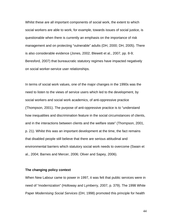Whilst these are all important components of social work, the extent to which social workers are able to work, for example, towards issues of social justice, is questionable when there is currently an emphasis on the importance of risk management and on protecting "vulnerable" adults (DH, 2000; DH, 2005). There is also considerable evidence (Jones, 2002; Blewett et al., 2007, pp. 8-9; Beresford, 2007) that bureaucratic statutory regimes have impacted negatively on social worker-service user relationships.

In terms of social work values, one of the major changes in the 1990s was the need to listen to the views of service users which led to the development, by social workers and social work academics, of anti-oppressive practice (Thompson, 2001). The purpose of anti-oppressive practice is to "understand how inequalities and discrimination feature in the social circumstances of clients, and in the interactions between clients and the welfare state" (Thompson, 2001, p. 21). Whilst this was an important development at the time, the fact remains that disabled people still believe that there are serious attitudinal and environmental barriers which statutory social work needs to overcome (Swain et al., 2004; Barnes and Mercer, 2006; Oliver and Sapey, 2006).

#### **The changing policy context**

When New Labour came to power in 1997, it was felt that public services were in need of "modernization" (Holloway and Lymberry, 2007, p. 379). The 1998 White Paper *Modernising Social Services* (DH, 1998) promoted this principle for health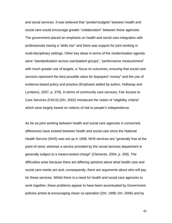and social services. It was believed that "pooled budgets" between health and social care would encourage greater "collaboration" between these agencies. The government placed an emphasis on health and social care integration with professionals having a "skills mix" and there was support for joint working in multi-disciplinary settings. Other key ideas in terms of the modernisation agenda were "standardization across user/patient groups", "performance measurement" with much greater use of targets, a "focus on outcomes, ensuring that *social care services represent the best possible value for taxpayers' money*" and the use of evidence-based policy and practice (Emphasis added by author, Holloway and Lymberry, 2007, p. 379). In terms of community care services, Fair Access to Care Services (FACS) (DH, 2002) introduced the notion of "eligibility criteria" which were largely based on notions of risk to people's independence.

As far as joint working between health and social care agencies is concerned, differences have existed between health and social care since the National Health Service (NHS) was set up in 1948. NHS services are "generally free at the point of need, whereas a service provided by the social services department is generally subject to a means-tested charge" (Clements, 2004, p. 258). The difficulties arise because there are differing opinions about what health care and social care needs are and, consequently, there are arguments about who will pay for these services. Whilst there is a need for health and social care agencies to work together, these problems appear to have been accentuated by Government policies aimed at encouraging closer co-operation (DH, 1998; DH, 2006) and by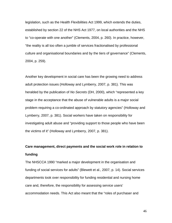legislation, such as the Health Flexibilities Act 1999, which extends the duties, established by section 22 of the NHS Act 1977, on local authorities and the NHS to "co-operate with one another" (Clements, 2004, p. 260). In practice, however, "the reality is all too often a jumble of services fractionalised by professional culture and organisational boundaries and by the tiers of governance" (Clements, 2004, p. 259).

Another key development in social care has been the growing need to address adult protection issues (Holloway and Lymberry, 2007, p. 381). This was heralded by the publication of *No Secrets* (DH, 2000), which "represented a key stage in the acceptance that the abuse of vulnerable adults is a major social problem requiring a co-ordinated approach by statutory agencies" (Holloway and Lymberry, 2007, p. 381). Social workers have taken on responsibility for investigating adult abuse and "providing support to those people who have been the victims of it" (Holloway and Lymberry, 2007, p. 381).

# **Care management, direct payments and the social work role in relation to funding**

The NHSCCA 1990 "marked a major development in the organisation and funding of social services for adults" (Blewett et al., 2007, p. 14). Social services departments took over responsibility for funding residential and nursing home care and, therefore, the responsibility for assessing service users' accommodation needs. This Act also meant that the "roles of purchaser and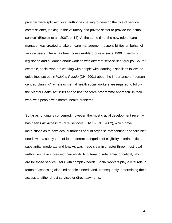provider were split with local authorities having to develop the role of service commissioner, looking to the voluntary and private sector to provide the actual service" (Blewett et al., 2007, p. 14). At the same time, the new role of care manager was created to take on care management responsibilities on behalf of service users. There has been considerable progress since 1990 in terms of legislation and guidance about working with different service user groups. So, for example, social workers working with people with learning disabilities follow the guidelines set out in *Valuing People* (DH, 2001) about the importance of "personcentred planning", whereas mental health social workers are required to follow the Mental Health Act 1983 and to use the "care programme approach" in their work with people with mental health problems.

So far as funding is concerned, however, the most crucial development recently has been *Fair Access to Care Services* (FACS) (DH, 2002), which gave instructions as to how local authorities should organise "presenting" and "eligible" needs with a set system of four different categories of eligibility criteria: critical, substantial, moderate and low. As was made clear in chapter three, most local authorities have increased their eligibility criteria to substantial or critical, which are for those service users with complex needs. Social workers play a vital role in terms of assessing disabled people's needs and, consequently, determining their access to either direct services or direct payments.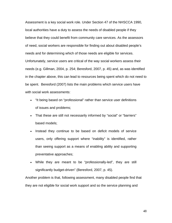Assessment is a key social work role. Under Section 47 of the NHSCCA 1990, local authorities have a duty to assess the needs of disabled people if they believe that they could benefit from community care services. As the assessors of need, social workers are responsible for finding out about disabled people's needs and for determining which of those needs are eligible for services. Unfortunately, service users are critical of the way social workers assess their needs (e.g. Gillman, 2004, p. 254; Beresford, 2007, p. 45) and, as was identified in the chapter above, this can lead to resources being spent which do not need to be spent. Beresford (2007) lists the main problems which service users have with social work assessments:

- "It being based on "professional" rather than service user definitions of issues and problems;
- That these are still not necessarily informed by "social" or "barriers" based models;
- Instead they continue to be based on deficit models of service users, only offering support where "inability" is identified, rather than seeing support as a means of enabling ability and supporting preventative approaches;
- While they are meant to be "professionally-led", they are still significantly budget-driven" (Beresford, 2007, p. 45).

Another problem is that, following assessment, many disabled people find that they are not eligible for social work support and so the service planning and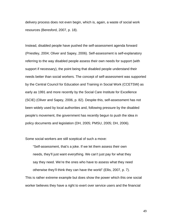delivery process does not even begin, which is, again, a waste of social work resources (Beresford, 2007, p. 18).

Instead, disabled people have pushed the self-assessment agenda forward (Priestley, 2004; Oliver and Sapey, 2006). Self-assessment is self-explanatory referring to the way disabled people assess their own needs for support (with support if necessary), the point being that disabled people understand their needs better than social workers. The concept of self-assessment was supported by the Central Council for Education and Training in Social Work (CCETSW) as early as 1991 and more recently by the Social Care Institute for Excellence (SCIE) (Oliver and Sapey, 2006, p. 82). Despite this, self-assessment has not been widely used by local authorities and, following pressure by the disabled people's movement, the government has recently begun to push the idea in policy documents and legislation (DH, 2005; PMSU, 2005; DH, 2006).

Some social workers are still sceptical of such a move:

"Self-assessment, that's a joke. If we let them assess their own needs, they'll just want everything. We can't just pay for what they say they need. We're the ones who have to assess what they need otherwise they'll think they can have the world" (Ellis, 2007, p. 7).

This is rather extreme example but does show the power which this one social worker believes they have a right to exert over service users and the financial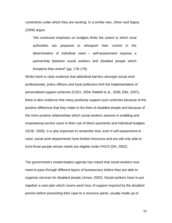constraints under which they are working. In a similar vein, Oliver and Sapey (2006) argue,

"the continued emphasis on budgets limits the extent to which local authorities are prepared to relinquish their control in the determination of individual need – self-assessment requires a partnership between social workers and disabled people which threatens that control" (pp. 178-179).

Whilst there is clear evidence that attitudinal barriers amongst social work professionals, policy officers and local politicians limit the implementation of personalised support schemes (CSCI, 2004; Riddell et al., 2006; Ellis, 2007), there is also evidence that many positively support such schemes because of the positive difference that they make to the lives of disabled people and because of the more positive relationships which social workers assume in enabling and empowering service users in their use of direct payments and individual budgets (SCIE, 2005). It is also important to remember that, even if self-assessment is used, social work departments have limited resources and are still only able to fund those people whose needs are eligible under FACS (DH, 2002).

The government's modernisation agenda has meant that social workers now need to pass through different layers of bureaucracy before they are able to organise services for disabled people (Jones, 2002). Social workers have to put together a care plan which covers each hour of support required by the disabled person before presenting their case to a resource panel, usually made up of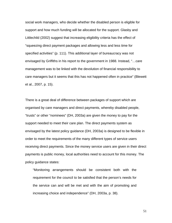social work managers, who decide whether the disabled person is eligible for support and how much funding will be allocated for the support. Glasby and Littlechild (2002) suggest that increasing eligibility criteria has the effect of "squeezing direct payment packages and allowing less and less time for specified activities" (p. 111). This additional layer of bureaucracy was not envisaged by Griffiths in his report to the government in 1988. Instead, "…care management was to be linked with the devolution of financial responsibility to care managers but it seems that this has not happened often in practice" (Blewett et al., 2007, p. 15).

There is a great deal of difference between packages of support which are organised by care managers and direct payments, whereby disabled people, "trusts" or other "nominees" (DH, 2003a) are given the money to pay for the support needed to meet their care plan. The direct payments system as envisaged by the latest policy guidance (DH, 2003a) is designed to be flexible in order to meet the requirements of the many different types of service users receiving direct payments. Since the money service users are given in their direct payments is public money, local authorities need to account for this money. The policy guidance states:

"Monitoring arrangements should be consistent both with the requirement for the council to be satisfied that the person's needs for the service can and will be met and with the aim of promoting and increasing choice and independence" (DH, 2003a, p. 38).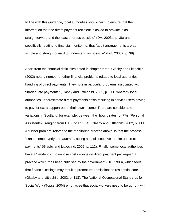In line with this guidance, local authorities should "aim to ensure that the information that the direct payment recipient is asked to provide is as straightforward and the least onerous possible" (DH, 2003a, p. 38) and, specifically relating to financial monitoring, that "audit arrangements are as simple and straightforward to understand as possible" (DH, 2003a, p. 39).

Apart from the financial difficulties noted in chapter three, Glasby and Littlechild (2002) note a number of other financial problems related to local authorities handling of direct payments. They note in particular problems associated with "inadequate payments" (Glasby and Littlechild, 2002, p. 111) whereby local authorities underestimate direct payments costs resulting in service users having to pay for extra support out of their own income. There are considerable variations in Scotland, for example, between the "hourly rates for PAs (Personal Assistants)…ranging from £3.60 to £11.64" (Glasby and Littlechild, 2002, p. 111). A further problem, related to the monitoring process above, is that the process "can become overly bureaucratic, acting as a disincentive to take up direct payments" (Glasby and Littlechild, 2002, p. 112). Finally, some local authorities have a "tendency...to impose cost ceilings on direct payment packages", a practice which "has been criticised by the government (DH, 1998), which feels that financial ceilings may result in premature admissions to residential care" (Glasby and Littlechild, 2002, p. 113). The National Occupational Standards for Social Work (Topss, 2004) emphasise that social workers need to be upfront with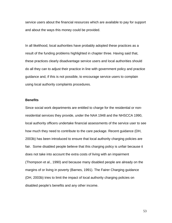service users about the financial resources which are available to pay for support and about the ways this money could be provided.

In all likelihood, local authorities have probably adopted these practices as a result of the funding problems highlighted in chapter three. Having said that, these practices clearly disadvantage service users and local authorities should do all they can to adjust their practice in line with government policy and practice guidance and, if this is not possible, to encourage service users to complain using local authority complaints procedures.

#### **Benefits**

Since social work departments are entitled to charge for the residential or nonresidential services they provide, under the NAA 1948 and the NHSCCA 1990, local authority officers undertake financial assessments of the service user to see how much they need to contribute to the care package. Recent guidance (DH, 2003b) has been introduced to ensure that local authority charging policies are fair. Some disabled people believe that this charging policy is unfair because it does not take into account the extra costs of living with an impairment (Thompson et al., 1990) and because many disabled people are already on the margins of or living in poverty (Barnes, 1991). The Fairer Charging guidance (DH, 2003b) tries to limit the impact of local authority charging policies on disabled people's benefits and any other income.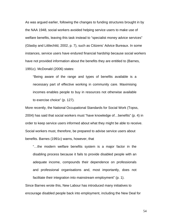As was argued earlier, following the changes to funding structures brought in by the NAA 1948, social workers avoided helping service users to make use of welfare benefits, leaving this task instead to "specialist money advice services" (Glasby and Littlechild, 2002, p. 7), such as Citizens' Advice Bureaux. In some instances, service users have endured financial hardship because social workers have not provided information about the benefits they are entitled to (Barnes, 1991c). McDonald (2006) states:

"Being aware of the range and types of benefits available is a necessary part of effective working in community care. Maximising incomes enables people to buy in resources not otherwise available to exercise choice" (p. 127).

More recently, the National Occupational Standards for Social Work (Topss, 2004) has said that social workers must "have knowledge of…benefits" (p. 4) in order to keep service users informed about what they might be able to receive. Social workers must, therefore, be prepared to advise service users about benefits. Barnes (1991c) warns, however, that

"…the modern welfare benefits system is a major factor in the disabling process because it fails to provide disabled people with an adequate income, compounds their dependence on professionals and professional organisations and, most importantly, does not facilitate their integration into mainstream employment" (p. 1).

Since Barnes wrote this, New Labour has introduced many initiatives to encourage disabled people back into employment, including the New Deal for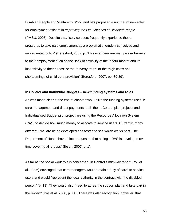Disabled People and Welfare to Work, and has proposed a number of new roles for employment officers in *Improving the Life Chances of Disabled People* (PMSU, 2005). Despite this, "service users frequently experience these pressures to take paid employment as a problematic, crudely conceived and implemented policy" (Beresford, 2007, p. 38) since there are many wider barriers to their employment such as the "lack of flexibility of the labour market and its insensitivity to their needs" or the "poverty traps" or the "high costs and shortcomings of child care provision" (Beresford, 2007, pp. 39-39).

#### **In Control and Individual Budgets – new funding systems and roles**

As was made clear at the end of chapter two, unlike the funding systems used in care management and direct payments, both the In Control pilot projects and Individualised Budget pilot project are using the Resource Allocation System (RAS) to decide how much money to allocate to service users. Currently, many different RAS are being developed and tested to see which works best. The Department of Health have "since requested that a single RAS is developed over time covering all groups" (Ibsen, 2007, p. 1).

As far as the social work role is concerned, In Control's mid-way report (Poll et al., 2006) envisaged that care managers would "retain a duty of care" to service users and would "represent the local authority in the contract with the disabled person" (p. 11). They would also "need to agree the support plan and take part in the review" (Poll et al, 2006, p. 11). There was also recognition, however, that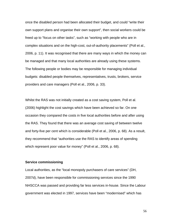once the disabled person had been allocated their budget, and could "write their own support plans and organise their own support", then social workers could be freed up to "focus on other tasks", such as "working with people who are in complex situations and on the high-cost, out-of-authority placements" (Poll et al., 2006, p. 11). It was recognised that there are many ways in which the money can be managed and that many local authorities are already using these systems. The following people or bodies may be responsible for managing individual budgets: disabled people themselves, representatives, trusts, brokers, service providers and care managers (Poll et al., 2006, p. 33).

Whilst the RAS was not initially created as a cost saving system, Poll et al. (2006) highlight the cost savings which have been achieved so far. On one occasion they compared the costs in five local authorities before and after using the RAS. They found that there was an average cost saving of between twelve and forty-five per cent which is considerable (Poll et al., 2006, p. 68). As a result, they recommend that "authorities use the RAS to identify areas of spending which represent poor value for money" (Poll et al., 2006, p. 68).

#### **Service commissioning**

Local authorities, as the "local monopoly purchasers of care services" (DH, 2007d), have been responsible for commissioning services since the 1990 NHSCCA was passed and providing far less services in-house. Since the Labour government was elected in 1997, services have been "modernised" which has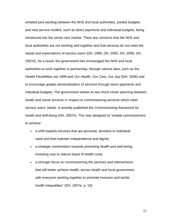entailed joint working between the NHS and local authorities, pooled budgets, and new service models, such as direct payments and individual budgets, being introduced into the social care market. There are concerns that the NHS and local authorities are not working well together and that services do not meet the needs and expectations of service users (DH, 1998; DH, 2005; DH, 2006; DH, 2007d). As a result, the government has encouraged the NHS and local authorities to work together in partnership, through various laws, such as the Health Flexibilities Act 1999 and *Our Health, Our Care, Our Say* (DH, 2006) and to encourage greater personalisation of services through direct payments and individual budgets. The government wishes to see much closer planning between health and social services in respect to commissioning services which meet service users' needs. It recently published the *Commissioning framework for health and well-being* (DH, 2007e). This was designed to "enable commissioners to achieve:

- a shift towards services that are personal, sensitive to individual need and that maintain independence and dignity.
- a strategic reorientation towards promoting health and well-being; investing now to reduce future ill health costs.
- a stronger focus on commissioning the services and interventions that will better achieve health, across health and local government, with everyone working together to promote inclusion and tackle health inequalities" (DH, 2007e, p. 10).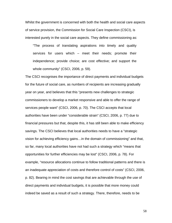Whilst the government is concerned with both the health and social care aspects of service provision, the Commission for Social Care Inspection (CSCI), is interested purely in the social care aspects. They define commissioning as:

"The process of translating aspirations into timely and quality services for users which – meet their needs; promote their independence; provide choice; are cost effective; and support the whole community" (CSCI, 2006, p. 59).

The CSCI recognises the importance of direct payments and individual budgets for the future of social care, as numbers of recipients are increasing gradually year on year, and believes that this "presents new challenges to strategic commissioners to develop a market responsive and able to offer the range of services people want" (CSCI, 2006, p. 70). The CSCI accepts that local authorities have been under "considerable strain" (CSCI, 2006, p. 77) due to financial pressures but that, despite this, it has still been able to make efficiency savings. The CSCI believes that local authorities needs to have a "strategic vision for achieving efficiency gains…in the domain of commissioning" and that, so far, many local authorities have not had such a strategy which "means that opportunities for further efficiencies may be lost" (CSCI, 2006, p. 78). For example, "resource allocations continue to follow traditional patterns and there is an inadequate appreciation of costs and therefore control of costs" (CSCI, 2006, p. 82). Bearing in mind the cost savings that are achievable through the use of direct payments and individual budgets, it is possible that more money could indeed be saved as a result of such a strategy. There, therefore, needs to be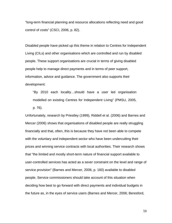"long-term financial planning and resource allocations reflecting need and good control of costs" (CSCI, 2006, p. 82).

Disabled people have picked up this theme in relation to Centres for Independent Living (CILs) and other organisations which are controlled and run by disabled people. These support organisations are crucial in terms of giving disabled people help to manage direct payments and in terms of peer support, information, advice and guidance. The government also supports their development:

"By 2010 each locality…should have a user led organisation modelled on existing Centres for Independent Living" (PMSU, 2005, p. 76).

Unfortunately, research by Priestley (1999), Riddell et al. (2006) and Barnes and Mercer (2006) shows that organisations of disabled people are really struggling financially and that, often, this is because they have not been able to compete with the voluntary and independent sector who have been undercutting their prices and winning service contracts with local authorities. Their research shows that "the limited and mostly short-term nature of financial support available to user-controlled services has acted as a sever constraint on the level and range of service provision" (Barnes and Mercer, 2006, p. 160) available to disabled people. Service commissioners should take account of this situation when deciding how best to go forward with direct payments and individual budgets in the future as, in the eyes of service users (Barnes and Mercer, 2006; Beresford,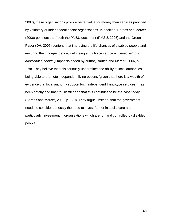2007), these organisations provide better value for money than services provided by voluntary or independent sector organisations. In addition, Barnes and Mercer (2006) point out that "both the PMSU document (PMSU, 2005) and the Green Paper (DH, 2005) contend that improving the life chances of disabled people and ensuring their independence, well-being and choice can be achieved *without additional funding*" (Emphasis added by author, Barnes and Mercer, 2006, p. 178). They believe that this seriously undermines the ability of local authorities being able to promote independent living options "given that there is a wealth of evidence that local authority support for…independent living-type services…has been patchy and unenthusiastic" and that this continues to be the case today (Barnes and Mercer, 2006, p. 179). They argue, instead, that the government needs to consider seriously the need to invest further in social care and, particularly, investment in organisations which are run and controlled by disabled people.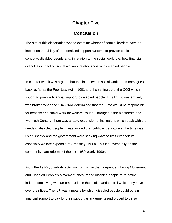### **Chapter Five**

## **Conclusion**

The aim of this dissertation was to examine whether financial barriers have an impact on the ability of personalised support systems to provide choice and control to disabled people and, in relation to the social work role, how financial difficulties impact on social workers' relationships with disabled people.

In chapter two, it was argued that the link between social work and money goes back as far as the Poor Law Act in 1601 and the setting up of the COS which sought to provide financial support to disabled people. This link, it was argued, was broken when the 1948 NAA determined that the State would be responsible for benefits and social work for welfare issues. Throughout the nineteenth and twentieth Century, there was a rapid expansion of institutions which dealt with the needs of disabled people. It was argued that public expenditure at the time was rising sharply and the government were seeking ways to limit expenditure, especially welfare expenditure (Priestley, 1999). This led, eventually, to the community care reforms of the late 1980s/early 1990s.

From the 1970s, disability activism from within the Independent Living Movement and Disabled People's Movement encouraged disabled people to re-define independent living with an emphasis on the choice and control which they have over their lives. The ILF was a means by which disabled people could obtain financial support to pay for their support arrangements and proved to be so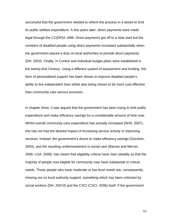successful that the government needed to reform the process in a desire to limit its public welfare expenditure. A few years later, direct payments were made legal through the CC(DP)A 1996. Direct payments got off to a slow start but the numbers of disabled people using direct payments increased substantially when the government placed a duty on local authorities to provide direct payments (DH, 2003). Finally, In Control and individual budget pilots were established in the twenty-first Century. Using a different system of assessment and funding, this form of personalised support has been shown to improve disabled people's ability to live independent lives whilst also being shown to be more cost-effective than community care service provision.

In chapter three, it was argued that the government has been trying to limit public expenditure and make efficiency savings for a considerable amount of time now. Whilst overall community care expenditure has actually increased (NHS, 2007), this has not had the desired impact of increasing service activity or improving services. Instead, the government's desire to make efficiency savings (Gershon, 2004), and the resulting underinvestment in social care (Barnes and Mercer, 2006; LGA, 2006), has meant that eligibility criteria have risen steadily so that the majority of people now eligible for community care have substantial or critical needs. Those people who have moderate or low level needs are, consequently, missing out on local authority support, something which has been criticised by social workers (DH, 2007d) and the CSCI (CSCI, 2006) itself. If the government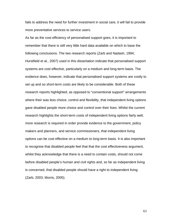fails to address the need for further investment in social care, it will fail to provide more preventative services to service users.

As far as the cost efficiency of personalised support goes, it is important to remember that there is still very little hard data available on which to base the following conclusions. The two research reports (Zarb and Nadash, 1994; Hurstfield et al., 2007) used in this dissertation indicate that personalised support systems are cost effective, particularly on a medium and long-term basis. The evidence does, however, indicate that personalised support systems are costly to set up and so short-term costs are likely to be considerable. Both of these research reports highlighted, as opposed to "conventional support" arrangements where their was less choice, control and flexibility, that independent living options gave disabled people more choice and control over their lives. Whilst the current research highlights the short-term costs of independent living options fairly well, more research is required in order provide evidence to the government, policy makers and planners, and service commissioners, that independent living options can be cost effective on a medium to long-term basis. It is also important to recognise that disabled people feel that that the cost effectiveness argument, whilst they acknowledge that there is a need to contain costs, should not come before disabled people's human and civil rights and, so far as independent living is concerned, that disabled people should have a right to independent living (Zarb, 2003; Morris, 2005).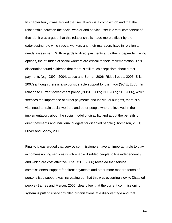In chapter four, it was argued that social work is a complex job and that the relationship between the social worker and service user is a vital component of that job. It was argued that this relationship is made more difficult by the gatekeeping role which social workers and their managers have in relation to needs assessment. With regards to direct payments and other independent living options, the attitudes of social workers are critical to their implementation. This dissertation found evidence that there is still much scepticism about direct payments (e.g. CSCI, 2004; Leece and Bornat, 2006; Riddell et al., 2006; Ellis, 2007) although there is also considerable support for them too (SCIE, 2005). In relation to current government policy (PMSU, 2005; DH, 2005; SH, 2006), which stresses the importance of direct payments and individual budgets, there is a vital need to train social workers and other people who are involved in their implementation, about the social model of disability and about the benefits of direct payments and individual budgets for disabled people (Thompson, 2001; Oliver and Sapey, 2006).

Finally, it was argued that service commissioners have an important role to play in commissioning services which enable disabled people to live independently and which are cost effective. The CSCI (2006) revealed that service commissioners' support for direct payments and other more modern forms of personalised support was increasing but that this was occurring slowly. Disabled people (Barnes and Mercer, 2006) clearly feel that the current commissioning system is putting user-controlled organisations at a disadvantage and that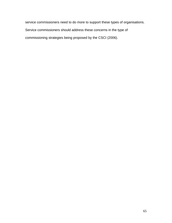service commissioners need to do more to support these types of organisations. Service commissioners should address these concerns in the type of commissioning strategies being proposed by the CSCI (2006).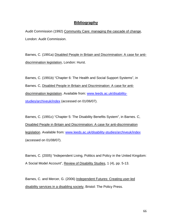### **Bibliography**

Audit Commission (1992) Community Care: managing the cascade of change, London: Audit Commission.

Barnes, C. (1991a) Disabled People in Britain and Discrimination: A case for antidiscrimination legislation, London: Hurst.

Barnes, C. (1991b) "Chapter 6: The Health and Social Support Systems", in Barnes. C, Disabled People in Britain and Discrimination: A case for antidiscrimination legislation. Available from: [www.leeds.ac.uk/disability](http://www.leeds.ac.uk/disability-studies/archiveuk/index)[studies/archiveuk/index](http://www.leeds.ac.uk/disability-studies/archiveuk/index) (accessed on 01/06/07).

Barnes, C. (1991c) "Chapter 5: The Disability Benefits System", in Barnes. C, Disabled People in Britain and Discrimination: A case for anti-discrimination legislation. Available from: [www.leeds.ac.uk/disability-studies/archiveuk/index](http://www.leeds.ac.uk/disability-studies/archiveuk/index) (accessed on 01/08/07).

Barnes, C. (2005) "Independent Living, Politics and Policy in the United Kingdom: A Social Model Account", Review of Disability Studies, 1 (4), pp. 5-13.

Barnes, C. and Mercer, G. (2006) Independent Futures: Creating user-led disability services in a disabling society, Bristol: The Policy Press.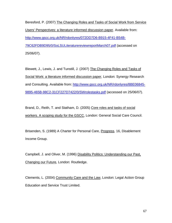Beresford, P. (2007) The Changing Roles and Tasks of Social Work from Service Users' Perspectives: a literature informed discussion paper. Available from: [http://www.gscc.org.uk/NR/rdonlyres/072DD7D6-B915-4F41-B54B-](http://www.gscc.org.uk/NR/rdonlyres/072DD7D6-B915-4F41-B54B-79C62FDB9D95/0/SoLSULiteraturereviewreportMarch07.pdf)[79C62FDB9D95/0/SoLSULiteraturereviewreportMarch07.pdf](http://www.gscc.org.uk/NR/rdonlyres/072DD7D6-B915-4F41-B54B-79C62FDB9D95/0/SoLSULiteraturereviewreportMarch07.pdf) (accessed on 25/06/07).

Blewett, J., Lewis, J. and Tunstill, J. (2007) The Changing Roles and Tasks of Social Work: a literature informed discussion paper, London: Synergy Research and Consulting. Available from: [http://www.gscc.org.uk/NR/rdonlyres/8BE06845-](http://www.gscc.org.uk/NR/rdonlyres/8BE06845-9895-465B-98C2-31CF227D7422/0/SWrolestasks.pdf) [9895-465B-98C2-31CF227D7422/0/SWrolestasks.pdf](http://www.gscc.org.uk/NR/rdonlyres/8BE06845-9895-465B-98C2-31CF227D7422/0/SWrolestasks.pdf) (accessed on 25/06/07).

Brand, D., Reith, T. and Statham, D. (2005) Core roles and tasks of social workers. A scoping study for the GSCC, London: General Social Care Council.

Brisenden, S. (1989) A Charter for Personal Care, Progress, 16, Disablement Income Group.

Campbell, J. and Oliver, M. (1996) Disability Politics: Understanding our Past, Changing our Future, London: Routledge.

Clements, L. (2004) Community Care and the Law, London: Legal Action Group Education and Service Trust Limited.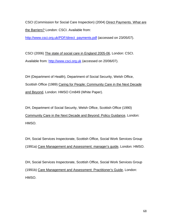CSCI (Commission for Social Care Inspection) (2004) Direct Payments. What are the Barriers? London: CSCI. Available from:

[http://www.csci.org.uk/PDF/direct\\_payments.pdf](http://www.csci.org.uk/PDF/direct_payments.pdf) (accessed on 23/05/07).

CSCI (2006) The state of social care in England 2005-06, London: CSCI. Available from: [http://www.csci.org.uk](http://www.csci.org.uk/) (accessed on 20/06/07).

DH (Department of Health), Department of Social Security, Welsh Office, Scottish Office (1989) Caring for People: Community Care in the Next Decade and Beyond, London: HMSO Cm849 (White Paper).

DH, Department of Social Security, Welsh Office, Scottish Office (1990) Community Care in the Next Decade and Beyond: Policy Guidance, London: HMSO.

DH, Social Services Inspectorate, Scottish Office, Social Work Services Group (1991a) Care Management and Assessment: manager's guide, London: HMSO.

DH, Social Services Inspectorate, Scottish Office, Social Work Services Group (1991b) Care Management and Assessment: Practitioner's Guide, London: HMSO.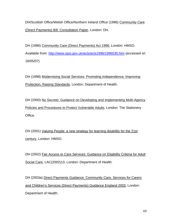DH/Scottish Office/Welsh Office/Northern Ireland Office (1996) Community Care (Direct Payments) Bill: Consultation Paper, London: DH.

DH (1996) Community Care (Direct Payments) Act 1996, London: HMSO. Available from: <http://www.opsi.gov.uk/acts/acts1996/1996030.htm> (accessed on 16/05/07).

DH (1998) Modernising Social Services: Promoting Independence, Improving Protection, Raising Standards, London: Department of Health.

DH (2000) No Secrets: Guidance on Developing and Implementing Multi-Agency Policies and Procedures to Protect Vulnerable Adults, London: The Stationery Office.

DH (2001) Valuing People: a new strategy for learning disability for the 21st century, London: HMSO.

DH (2002) Fair Access to Care Services: Guidance on Eligibility Criteria for Adult Social Care, LAC(2002)13, London: Department of Health.

DH (2003a) Direct Payments Guidance: Community Care, Services for Carers and Children's Services (Direct Payments) Guidance England 2003, London: Department of Health.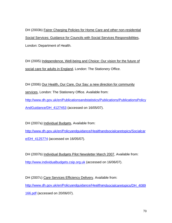DH (2003b) Fairer Charging Policies for Home Care and other non-residential Social Services: Guidance for Councils with Social Services Responsibilities, London: Department of Health.

DH (2005) Independence, Well-being and Choice: Our vision for the future of social care for adults in England, London: The Stationery Office.

DH (2006) Our Health, Our Care, Our Say: a new direction for community

services, London: The Stationery Office. Available from:

[http://www.dh.gov.uk/en/Publicationsandstatistics/Publications/PublicationsPolicy](http://www.dh.gov.uk/en/Publicationsandstatistics/Publications/PublicationsPolicyAndGuidance/DH_4127453) [AndGuidance/DH\\_4127453](http://www.dh.gov.uk/en/Publicationsandstatistics/Publications/PublicationsPolicyAndGuidance/DH_4127453) (accessed on 16/05/07).

DH (2007a) Individual Budgets, Available from:

[http://www.dh.gov.uk/en/Policyandguidance/Healthandsocialcaretopics/Socialcar](http://www.dh.gov.uk/en/Policyandguidance/Healthandsocialcaretopics/Socialcare/DH_4125774) [e/DH\\_4125774](http://www.dh.gov.uk/en/Policyandguidance/Healthandsocialcaretopics/Socialcare/DH_4125774) (accessed on 16/05/07).

DH (2007b) Individual Budgets Pilot Newsletter March 2007, Available from: [http://www.individualbudgets.csip.org.uk](http://www.individualbudgets.csip.org.uk/) (accessed on 16/06/07).

DH (2007c) Care Services Efficiency Delivery. Available from: [http://www.dh.gov.uk/en/Policyandguidance/Healthandsocialcaretopics/DH\\_4089](http://www.dh.gov.uk/en/Policyandguidance/Healthandsocialcaretopics/DH_4089166.pdf) [166.pdf](http://www.dh.gov.uk/en/Policyandguidance/Healthandsocialcaretopics/DH_4089166.pdf) (accessed on 20/06/07).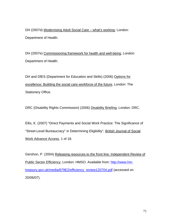DH (2007d) Modernising Adult Social Care - what's working, London: Department of Health.

DH (2007e) Commissioning framework for health and well-being, London: Department of Health.

DH and DfES (Department for Education and Skills) (2006) Options for excellence: Building the social care workforce of the future, London: The Stationery Office.

DRC (Disability Rights Commission) (2006) Disability Briefing, London: DRC.

Ellis, K. (2007) "Direct Payments and Social Work Practice: The Significance of "Street-Level Bureaucracy" in Determining Eligibility", British Journal of Social Work Advance Access, 1 of 18.

Gershon, P. (2004) Releasing resources to the front line: Independent Review of Public Sector Efficiency, London: HMSO. Available from: [http://www.hm](http://www.hm-treasury.gov.uk/media/879E2/efficiency_review120704.pdf)[treasury.gov.uk/media/879E2/efficiency\\_review120704.pdf](http://www.hm-treasury.gov.uk/media/879E2/efficiency_review120704.pdf) (accessed on 20/06/07).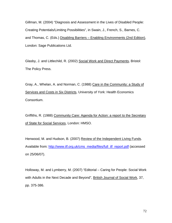Gillman, M. (2004) "Diagnosis and Assessment in the Lives of Disabled People: Creating Potentials/Limiting Possibilities", in Swain, J., French, S., Barnes, C. and Thomas, C. (Eds.) Disabling Barriers – Enabling Environments (2nd Edition), London: Sage Publications Ltd.

Glasby, J. and Littlechild, R. (2002) Social Work and Direct Payments, Bristol: The Policy Press.

Gray, A., Whelan, A. and Norman, C. (1988) Care in the Community: a Study of Services and Costs in Six Districts, University of York: Health Economics Consortium.

Griffiths, R. (1988) Community Care: Agenda for Action: a report to the Secretary of State for Social Services, London: HMSO.

Henwood, M. and Hudson, B. (2007) Review of the Independent Living Funds. Available from: [http://www.ilf.org.uk/cms\\_media/files/full\\_ilf\\_report.pdf](http://www.ilf.org.uk/cms_media/files/full_ilf_report.pdf) (accessed on 25/06/07).

Holloway, M. and Lymberry, M. (2007) "Editorial – Caring for People: Social Work with Adults in the Next Decade and Beyond", British Journal of Social Work, 37, pp. 375-386.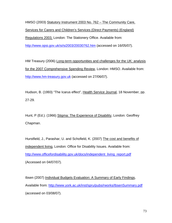HMSO (2003) Statutory Instrument 2003 No. 762 – The Community Care, Services for Carers and Children's Services (Direct Payments) (England) Regulations 2003, London: The Stationery Office. Available from: <http://www.opsi.gov.uk/si/si2003/20030762.htm>(accessed on 16/05/07).

HM Treasury (2006) Long-term opportunities and challenges for the UK: analysis for the 2007 Comprehensive Spending Review, London: HMSO. Available from: [http://www.hm-treasury.gov.uk](http://www.hm-treasury.gov.uk/) (accessed on 27/06/07).

Hudson, B. (1993) "The Icarus effect", Health Service Journal, 18 November, pp. 27-29.

Hunt, P (Ed.). (1966) Stigma: The Experience of Disability, London: Geoffrey Chapman.

Hurstfield, J., Parashar, U. and Schofield, K. (2007) The cost and benefits of independent living, London: Office for Disability Issues. Available from: [http://www.officefordisability.gov.uk/docs/independent\\_living\\_report.pdf](http://www.officefordisability.gov.uk/docs/independent_living_report.pdf) (Accessed on 04/07/07).

Ibsen (2007) Individual Budgets Evaluation: A Summary of Early Findings, Available from: <http://www.york.ac.uk/inst/spru/pubs/rworks/IbsenSummary.pdf> (accessed on 03/08/07).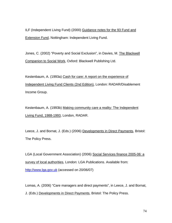ILF (Independent Living Fund) (2000) Guidance notes for the 93 Fund and Extension Fund, Nottingham: Independent Living Fund.

Jones, C. (2002) "Poverty and Social Exclusion", in Davies, M. The Blackwell Companion to Social Work, Oxford: Blackwell Publishing Ltd.

Kestenbaum, A. (1993a) Cash for care: A report on the experience of Independent Living Fund Clients (2nd Edition), London: RADAR/Disablement Income Group.

Kestenbaum, A. (1993b) Making community care a reality: The Independent Living Fund, 1988-1993, London, RADAR.

Leece, J. and Bornat, J. (Eds.) (2006) Developments in Direct Payments, Bristol: The Policy Press.

LGA (Local Government Association) (2006) Social Services finance 2005-06: a survey of local authorities, London: LGA Publications. Available from: [http://www.lga.gov.uk](http://www.lga.gov.uk/) (accessed on 20/06/07)

Lomas, A. (2006) "Care managers and direct payments", in Leece, J. and Bornat, J. (Eds.) Developments in Direct Payments, Bristol: The Policy Press.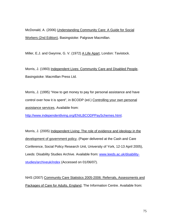McDonald, A. (2006) Understanding Community Care: A Guide for Social Workers (2nd Edition), Basingstoke: Palgrave Macmillan.

Miller, E.J. and Gwynne, G. V. (1972) A Life Apart, London: Tavistock.

Morris, J. (1993) Independent Lives: Community Care and Disabled People, Basingstoke: Macmillan Press Ltd.

Morris, J. (1995) "How to get money to pay for personal assistance and have control over how it is spent", in BCODP (ed.) Controlling your own personal assistance services, Available from:

[http://www.independentliving.org/ENILBCODPPaySchemes.html.](http://www.independentliving.org/ENILBCODPPaySchemes.html)

Morris, J. (2005) Independent Living: The role of evidence and ideology in the development of government policy, (Paper delivered at the Cash and Care Conference, Social Policy Research Unit, University of York, 12-13 April 2005), Leeds: Disability Studies Archive. Available from: [www.leeds.ac.uk/disability](http://www.leeds.ac.uk/disability-studies/archiveuk/index)[studies/archiveuk/index](http://www.leeds.ac.uk/disability-studies/archiveuk/index) (Accessed on 01/06/07).

NHS (2007) Community Care Statistics 2005-2006: Referrals, Assessments and Packages of Care for Adults, England, The Information Centre. Available from: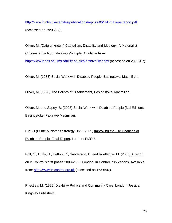<http://www.ic.nhs.uk/webfiles/publications/repcssr06/RAPnationalreport.pdf> (accessed on 29/05/07).

Oliver, M. (Date unknown) Capitalism, Disability and Ideology: A Materialist Critique of the Normalization Principle. Available from:

<http://www.leeds.ac.uk/disability-studies/archiveuk/index> (accessed on 28/06/07).

Oliver, M. (1983) Social Work with Disabled People, Basingtoke: Macmillan.

Oliver, M. (1990) The Politics of Disablement, Basingstoke: Macmillan.

Oliver, M. and Sapey, B. (2006) Social Work with Disabled People (3rd Edition): Basingstoke: Palgrave Macmillan.

PMSU (Prime Minister's Strategy Unit) (2005) Improving the Life Chances of Disabled People: Final Report, London: PMSU.

Poll, C., Duffy, S., Hatton, C., Sanderson, H. and Routledge, M. (2006) A report on in Control's first phase 2003-2005, London: in Control Publications. Available from: [http://www.in-control.org.uk](http://www.in-control.org.uk/) (accessed on 16/06/07).

Priestley, M. (1999) Disability Politics and Community Care, London: Jessica Kingsley Publishers.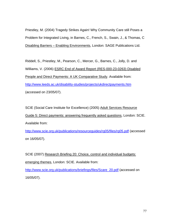Priestley, M. (2004) Tragedy Strikes Again! Why Community Care still Poses a Problem for Integrated Living, in Barnes, C., French, S., Swain, J., & Thomas, C Disabling Barriers – Enabling Environments, London: SAGE Publications Ltd.

Riddell, S., Priestley, M., Pearson, C., Mercer, G., Barnes, C., Jolly, D. and Williams, V. (2006) ESRC End of Award Report (RES-000-23-0263) Disabled People and Direct Payments: A UK Comparative Study. Available from: <http://www.leeds.ac.uk/disability-studies/projects/ukdirectpayments.htm> (accessed on 23/05/07).

SCIE (Social Care Institute for Excellence) (2005) Adult Services Resource Guide 5: Direct payments: answering frequently asked questions, London: SCIE. Available from:

<http://www.scie.org.uk/publications/resourceguides/rg05/files/rg05.pdf>(accessed on 16/05/07).

SCIE (2007) Research Briefing 20: Choice, control and individual budgets: emerging themes, London: SCIE. Available from:

[http://www.scie.org.uk/publications/briefings/files/Scare\\_20.pdf](http://www.scie.org.uk/publications/briefings/files/Scare_20.pdf) (accessed on 16/05/07).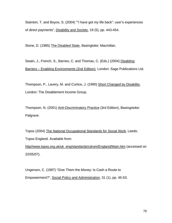Stainton, T. and Boyce, S. (2004) ""I have got my life back": user's experiences of direct payments", Disability and Society, 19 (5), pp. 443-454.

Stone, D. (1985) The Disabled State, Basingtoke: Macmillan.

Swain, J., French, S., Barnes, C. and Thomas, C. (Eds.) (2004) Disabling Barriers – Enabling Environments (2nd Edition), London: Sage Publications Ltd.

Thompson, P., Lavery, M. and Curtice, J. (1990) Short Changed by Disability, London: The Disablement Income Group.

Thompson, N. (2001) Anti-Discriminatory Practice (3rd Edition), Basingstoke: Palgrave.

Topss (2004) The National Occupational Standards for Social Work, Leeds: Topss England. Available from:

http//www.topss.org.uk/uk\_eng/standards/cdrom/England/Main.htm (accessed on 22/05/07).

Ungerson, C. (1997) "Give Them the Money: Is Cash a Route to Empowerment?", Social Policy and Administration, 31 (1), pp. 45-53.